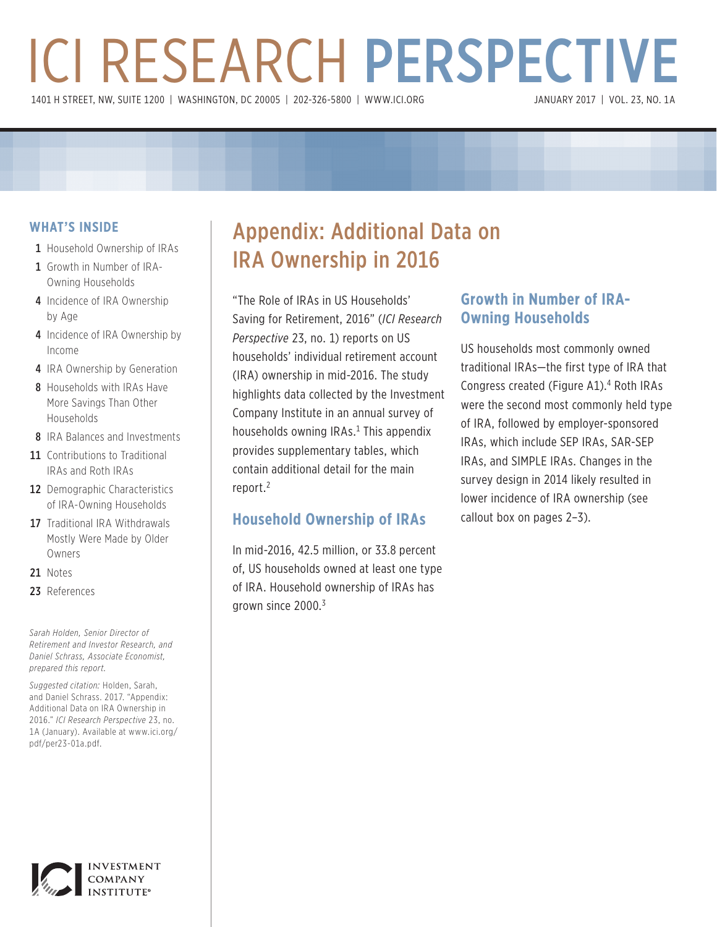# ICI RESEARCH PERSPECTIVE 1401 H STREET, NW, SUITE 1200 | WASHINGTON, DC 20005 | 202-326-5800 | [WWW.ICI.ORG](www.ici.org)

# **WHAT'S INSIDE**

- 1 Household Ownership of IRAs
- 1 Growth in Number of IRA-Owning Households
- 4 Incidence of IRA Ownership by Age
- 4 Incidence of IRA Ownership by Income
- 4 IRA Ownership by Generation
- 8 Households with IRAs Have More Savings Than Other Households
- 8 IRA Balances and Investments
- 11 Contributions to Traditional IRAs and Roth IRAs
- 12 Demographic Characteristics of IRA-Owning Households
- 17 Traditional IRA Withdrawals Mostly Were Made by Older Owners
- 21 Notes
- 23 References

*Sarah Holden, Senior Director of Retirement and Investor Research, and Daniel Schrass, Associate Economist, prepared this report.*

*Suggested citation:* Holden, Sarah, and Daniel Schrass. 2017. "Appendix: Additional Data on IRA Ownership in 2016." *ICI Research Perspective* 23, no. 1A (January). Available at [www.ici.org/](http://www.ici.org/pdf/per23-01a.pdf) [pdf/per23-01a.pdf](http://www.ici.org/pdf/per23-01a.pdf).



# Appendix: Additional Data on IRA Ownership in 2016

"The Role of IRAs in US Households' Saving for Retirement, 2016" (*ICI Research Perspective* 23, no. 1) reports on US households' individual retirement account (IRA) ownership in mid-2016. The study highlights data collected by the Investment Company Institute in an annual survey of households owning IRAs.<sup>1</sup> This appendix provides supplementary tables, which contain additional detail for the main report.<sup>2</sup>

# **Household Ownership of IRAs**

In mid-2016, 42.5 million, or 33.8 percent of, US households owned at least one type of IRA. Household ownership of IRAs has grown since 2000.<sup>3</sup>

# **Growth in Number of IRA-Owning Households**

US households most commonly owned traditional IRAs—the first type of IRA that Congress created (Figure A1).<sup>4</sup> Roth IRAs were the second most commonly held type of IRA, followed by employer-sponsored IRAs, which include SEP IRAs, SAR-SEP IRAs, and SIMPLE IRAs. Changes in the survey design in 2014 likely resulted in lower incidence of IRA ownership (see callout box on pages 2–3).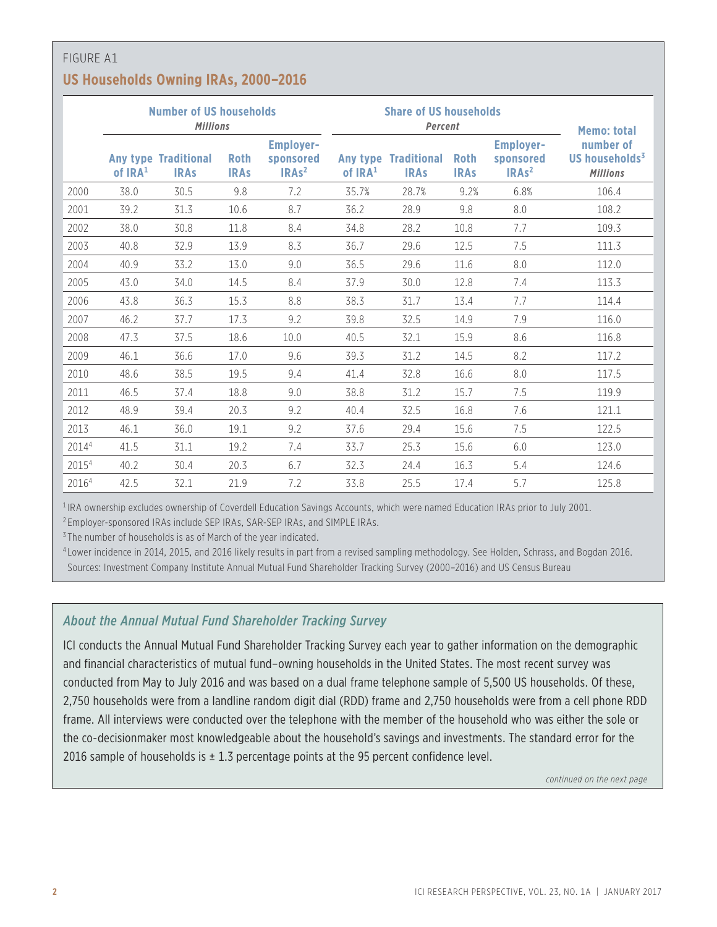# FIGURE A1 **US Households Owning IRAs, 2000–2016**

|       | <b>Number of US households</b><br><b>Millions</b> |                                            |                            |                                                               |                                 | <b>Share of US households</b><br>Percent | <b>Memo: total</b>         |                                                               |                                                            |
|-------|---------------------------------------------------|--------------------------------------------|----------------------------|---------------------------------------------------------------|---------------------------------|------------------------------------------|----------------------------|---------------------------------------------------------------|------------------------------------------------------------|
|       | of IRA <sup>1</sup>                               | <b>Any type Traditional</b><br><b>IRAs</b> | <b>Roth</b><br><b>IRAs</b> | <b>Employer-</b><br>sponsored<br>IRA <sub>s<sup>2</sup></sub> | Any type<br>of IRA <sup>1</sup> | <b>Traditional</b><br><b>IRAs</b>        | <b>Roth</b><br><b>IRAs</b> | <b>Employer-</b><br>sponsored<br>IRA <sub>s<sup>2</sup></sub> | number of<br>US households <sup>3</sup><br><b>Millions</b> |
| 2000  | 38.0                                              | 30.5                                       | 9.8                        | 7.2                                                           | 35.7%                           | 28.7%                                    | 9.2%                       | 6.8%                                                          | 106.4                                                      |
| 2001  | 39.2                                              | 31.3                                       | 10.6                       | 8.7                                                           | 36.2                            | 28.9                                     | 9.8                        | 8.0                                                           | 108.2                                                      |
| 2002  | 38.0                                              | 30.8                                       | 11.8                       | 8.4                                                           | 34.8                            | 28.2                                     | 10.8                       | 7.7                                                           | 109.3                                                      |
| 2003  | 40.8                                              | 32.9                                       | 13.9                       | 8.3                                                           | 36.7                            | 29.6                                     | 12.5                       | 7.5                                                           | 111.3                                                      |
| 2004  | 40.9                                              | 33.2                                       | 13.0                       | 9.0                                                           | 36.5                            | 29.6                                     | 11.6                       | 8.0                                                           | 112.0                                                      |
| 2005  | 43.0                                              | 34.0                                       | 14.5                       | 8.4                                                           | 37.9                            | 30.0                                     | 12.8                       | 7.4                                                           | 113.3                                                      |
| 2006  | 43.8                                              | 36.3                                       | 15.3                       | 8.8                                                           | 38.3                            | 31.7                                     | 13.4                       | 7.7                                                           | 114.4                                                      |
| 2007  | 46.2                                              | 37.7                                       | 17.3                       | 9.2                                                           | 39.8                            | 32.5                                     | 14.9                       | 7.9                                                           | 116.0                                                      |
| 2008  | 47.3                                              | 37.5                                       | 18.6                       | 10.0                                                          | 40.5                            | 32.1                                     | 15.9                       | 8.6                                                           | 116.8                                                      |
| 2009  | 46.1                                              | 36.6                                       | 17.0                       | 9.6                                                           | 39.3                            | 31.2                                     | 14.5                       | 8.2                                                           | 117.2                                                      |
| 2010  | 48.6                                              | 38.5                                       | 19.5                       | 9.4                                                           | 41.4                            | 32.8                                     | 16.6                       | 8.0                                                           | 117.5                                                      |
| 2011  | 46.5                                              | 37.4                                       | 18.8                       | 9.0                                                           | 38.8                            | 31.2                                     | 15.7                       | 7.5                                                           | 119.9                                                      |
| 2012  | 48.9                                              | 39.4                                       | 20.3                       | 9.2                                                           | 40.4                            | 32.5                                     | 16.8                       | 7.6                                                           | 121.1                                                      |
| 2013  | 46.1                                              | 36.0                                       | 19.1                       | 9.2                                                           | 37.6                            | 29.4                                     | 15.6                       | 7.5                                                           | 122.5                                                      |
| 20144 | 41.5                                              | 31.1                                       | 19.2                       | 7.4                                                           | 33.7                            | 25.3                                     | 15.6                       | 6.0                                                           | 123.0                                                      |
| 20154 | 40.2                                              | 30.4                                       | 20.3                       | 6.7                                                           | 32.3                            | 24.4                                     | 16.3                       | 5.4                                                           | 124.6                                                      |
| 20164 | 42.5                                              | 32.1                                       | 21.9                       | 7.2                                                           | 33.8                            | 25.5                                     | 17.4                       | 5.7                                                           | 125.8                                                      |

<sup>1</sup> IRA ownership excludes ownership of Coverdell Education Savings Accounts, which were named Education IRAs prior to July 2001.

<sup>2</sup> Employer-sponsored IRAs include SEP IRAs, SAR-SEP IRAs, and SIMPLE IRAs.

<sup>3</sup> The number of households is as of March of the year indicated.

<sup>4</sup> Lower incidence in 2014, 2015, and 2016 likely results in part from a revised sampling methodology. See Holden, Schrass, and Bogdan 2016. Sources: Investment Company Institute Annual Mutual Fund Shareholder Tracking Survey (2000–2016) and US Census Bureau

# *About the Annual Mutual Fund Shareholder Tracking Survey*

ICI conducts the Annual Mutual Fund Shareholder Tracking Survey each year to gather information on the demographic and financial characteristics of mutual fund–owning households in the United States. The most recent survey was conducted from May to July 2016 and was based on a dual frame telephone sample of 5,500 US households. Of these, 2,750 households were from a landline random digit dial (RDD) frame and 2,750 households were from a cell phone RDD frame. All interviews were conducted over the telephone with the member of the household who was either the sole or the co-decisionmaker most knowledgeable about the household's savings and investments. The standard error for the 2016 sample of households is  $\pm$  1.3 percentage points at the 95 percent confidence level.

*continued on the next page*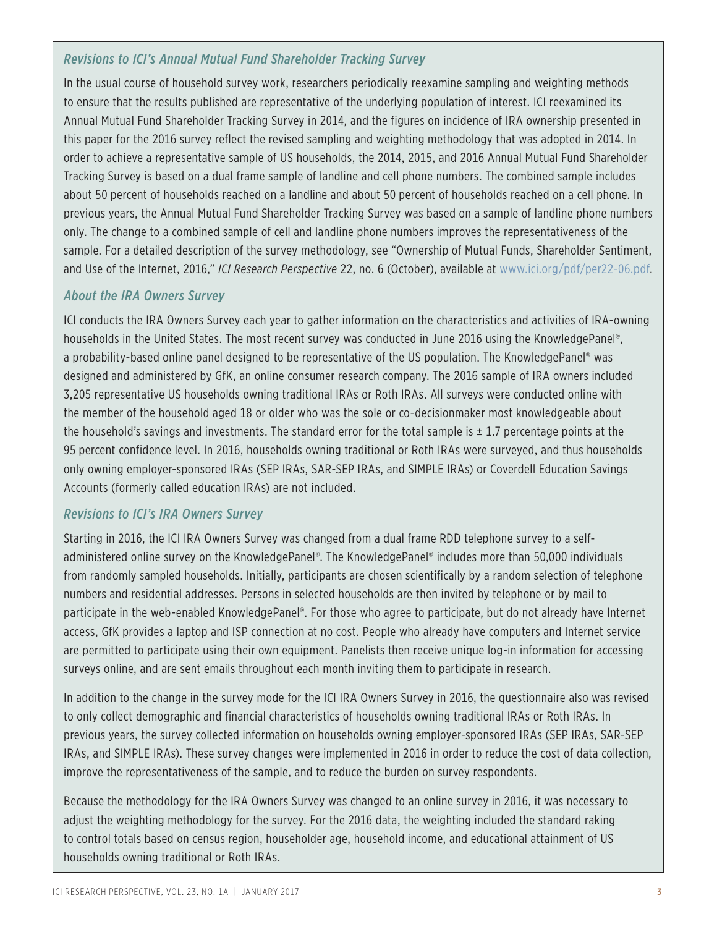# *Revisions to ICI's Annual Mutual Fund Shareholder Tracking Survey*

In the usual course of household survey work, researchers periodically reexamine sampling and weighting methods to ensure that the results published are representative of the underlying population of interest. ICI reexamined its Annual Mutual Fund Shareholder Tracking Survey in 2014, and the figures on incidence of IRA ownership presented in this paper for the 2016 survey reflect the revised sampling and weighting methodology that was adopted in 2014. In order to achieve a representative sample of US households, the 2014, 2015, and 2016 Annual Mutual Fund Shareholder Tracking Survey is based on a dual frame sample of landline and cell phone numbers. The combined sample includes about 50 percent of households reached on a landline and about 50 percent of households reached on a cell phone. In previous years, the Annual Mutual Fund Shareholder Tracking Survey was based on a sample of landline phone numbers only. The change to a combined sample of cell and landline phone numbers improves the representativeness of the sample. For a detailed description of the survey methodology, see "Ownership of Mutual Funds, Shareholder Sentiment, and Use of the Internet, 2016," *ICI Research Perspective* 22, no. 6 (October), available at [www.ici.org/pdf/per22-06.pdf](http://www.ici.org/pdf/per22-06.pdf).

#### *About the IRA Owners Survey*

ICI conducts the IRA Owners Survey each year to gather information on the characteristics and activities of IRA-owning households in the United States. The most recent survey was conducted in June 2016 using the KnowledgePanel®, a probability-based online panel designed to be representative of the US population. The KnowledgePanel® was designed and administered by GfK, an online consumer research company. The 2016 sample of IRA owners included 3,205 representative US households owning traditional IRAs or Roth IRAs. All surveys were conducted online with the member of the household aged 18 or older who was the sole or co-decisionmaker most knowledgeable about the household's savings and investments. The standard error for the total sample is  $\pm$  1.7 percentage points at the 95 percent confidence level. In 2016, households owning traditional or Roth IRAs were surveyed, and thus households only owning employer-sponsored IRAs (SEP IRAs, SAR-SEP IRAs, and SIMPLE IRAs) or Coverdell Education Savings Accounts (formerly called education IRAs) are not included.

# *Revisions to ICI's IRA Owners Survey*

Starting in 2016, the ICI IRA Owners Survey was changed from a dual frame RDD telephone survey to a selfadministered online survey on the KnowledgePanel®. The KnowledgePanel® includes more than 50,000 individuals from randomly sampled households. Initially, participants are chosen scientifically by a random selection of telephone numbers and residential addresses. Persons in selected households are then invited by telephone or by mail to participate in the web-enabled KnowledgePanel®. For those who agree to participate, but do not already have Internet access, GfK provides a laptop and ISP connection at no cost. People who already have computers and Internet service are permitted to participate using their own equipment. Panelists then receive unique log-in information for accessing surveys online, and are sent emails throughout each month inviting them to participate in research.

In addition to the change in the survey mode for the ICI IRA Owners Survey in 2016, the questionnaire also was revised to only collect demographic and financial characteristics of households owning traditional IRAs or Roth IRAs. In previous years, the survey collected information on households owning employer-sponsored IRAs (SEP IRAs, SAR-SEP IRAs, and SIMPLE IRAs). These survey changes were implemented in 2016 in order to reduce the cost of data collection, improve the representativeness of the sample, and to reduce the burden on survey respondents.

Because the methodology for the IRA Owners Survey was changed to an online survey in 2016, it was necessary to adjust the weighting methodology for the survey. For the 2016 data, the weighting included the standard raking to control totals based on census region, householder age, household income, and educational attainment of US households owning traditional or Roth IRAs.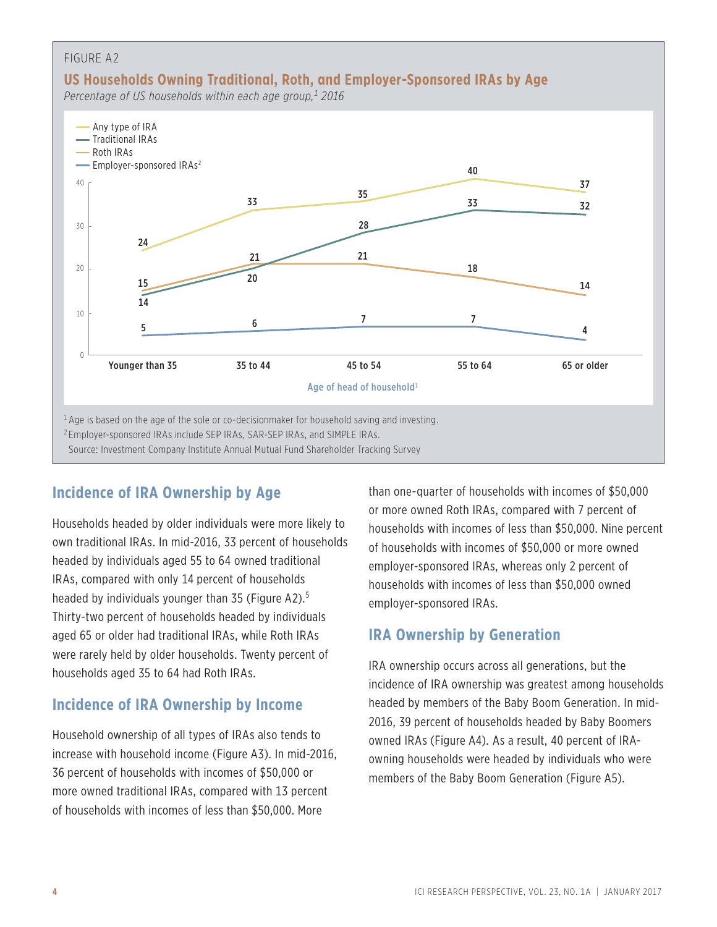

# **Incidence of IRA Ownership by Age**

Households headed by older individuals were more likely to own traditional IRAs. In mid-2016, 33 percent of households headed by individuals aged 55 to 64 owned traditional IRAs, compared with only 14 percent of households headed by individuals younger than 35 (Figure A2).<sup>5</sup> Thirty-two percent of households headed by individuals aged 65 or older had traditional IRAs, while Roth IRAs were rarely held by older households. Twenty percent of households aged 35 to 64 had Roth IRAs.

# **Incidence of IRA Ownership by Income**

Household ownership of all types of IRAs also tends to increase with household income (Figure A3). In mid-2016, 36 percent of households with incomes of \$50,000 or more owned traditional IRAs, compared with 13 percent of households with incomes of less than \$50,000. More

than one-quarter of households with incomes of \$50,000 or more owned Roth IRAs, compared with 7 percent of households with incomes of less than \$50,000. Nine percent of households with incomes of \$50,000 or more owned employer-sponsored IRAs, whereas only 2 percent of households with incomes of less than \$50,000 owned employer-sponsored IRAs.

# **IRA Ownership by Generation**

IRA ownership occurs across all generations, but the incidence of IRA ownership was greatest among households headed by members of the Baby Boom Generation. In mid-2016, 39 percent of households headed by Baby Boomers owned IRAs (Figure A4). As a result, 40 percent of IRAowning households were headed by individuals who were members of the Baby Boom Generation (Figure A5).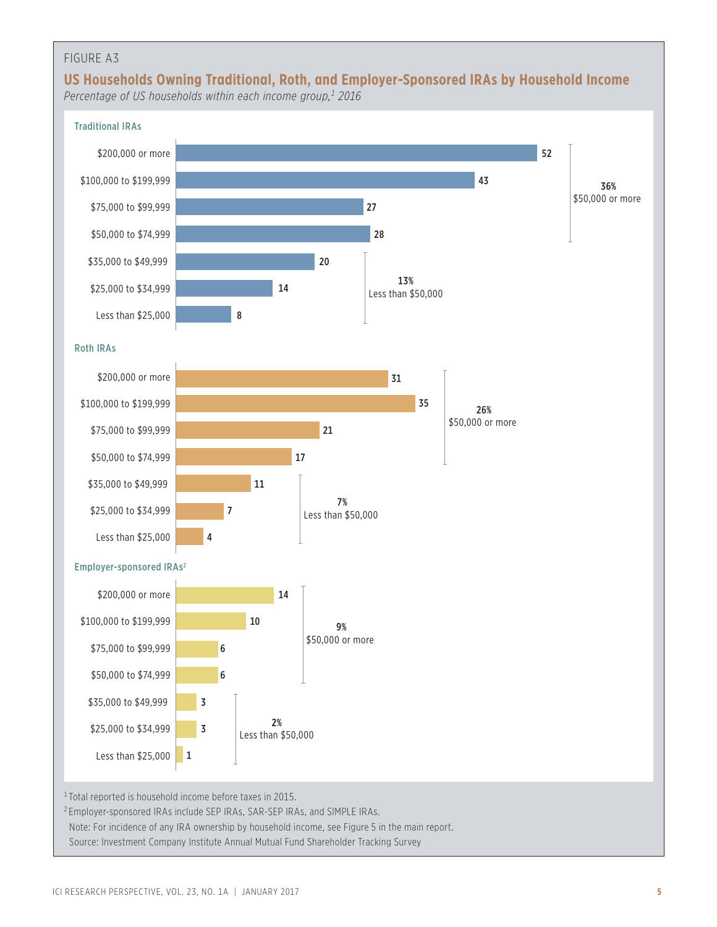# FIGURE A3



*Percentage of US households within each income group,1 2016*

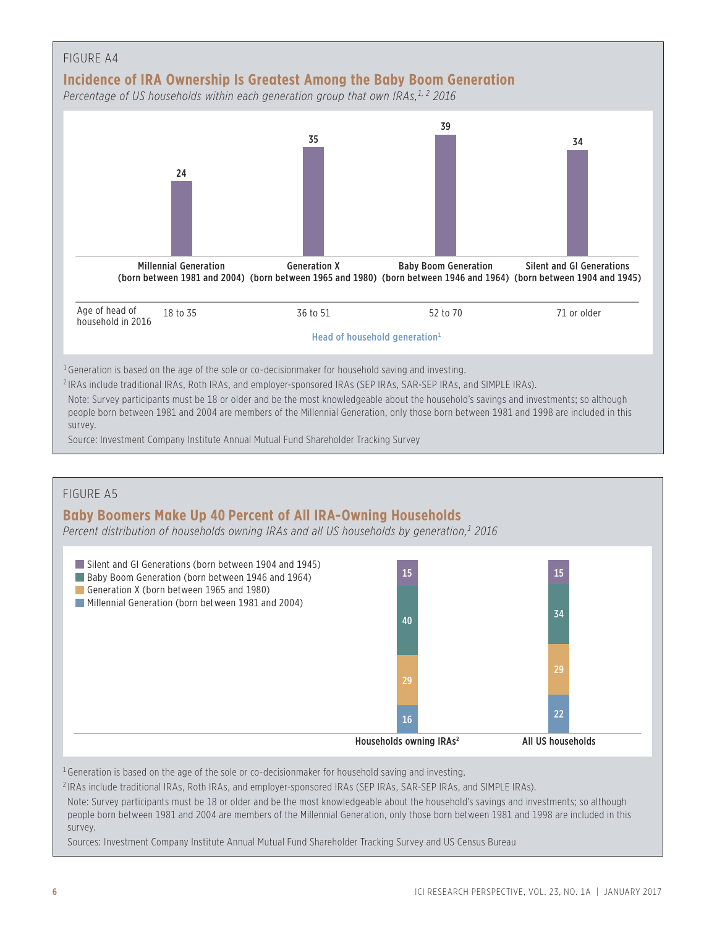

Sources: Investment Company Institute Annual Mutual Fund Shareholder Tracking Survey and US Census Bureau

<sup>2</sup> IRAs include traditional IRAs, Roth IRAs, and employer-sponsored IRAs (SEP IRAs, SAR-SEP IRAs, and SIMPLE IRAs).

Note: Survey participants must be 18 or older and be the most knowledgeable about the household's savings and investments; so although people born between 1981 and 2004 are members of the Millennial Generation, only those born between 1981 and 1998 are included in this

<sup>1</sup> Generation is based on the age of the sole or co-decisionmaker for household saving and investing.

Households owning  $IRAs<sup>2</sup>$  All US households

survey.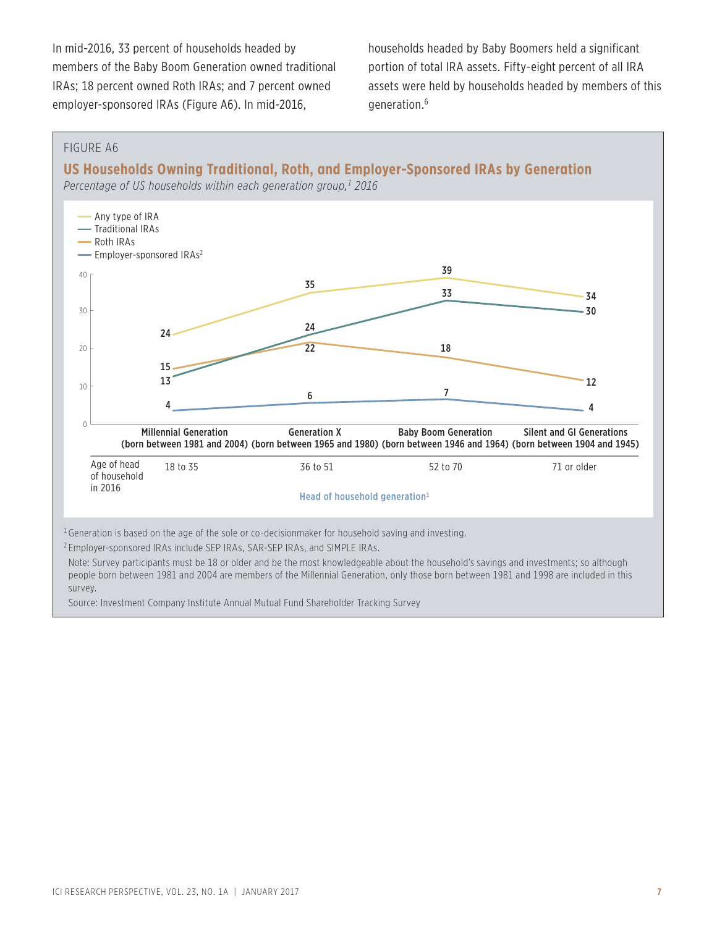In mid-2016, 33 percent of households headed by members of the Baby Boom Generation owned traditional IRAs; 18 percent owned Roth IRAs; and 7 percent owned employer-sponsored IRAs (Figure A6). In mid-2016,

households headed by Baby Boomers held a significant portion of total IRA assets. Fifty-eight percent of all IRA assets were held by households headed by members of this generation.6

#### FIGURE A6

**US Households Owning Traditional, Roth, and Employer-Sponsored IRAs by Generation**

*Percentage of US households within each generation group,1 2016*



people born between 1981 and 2004 are members of the Millennial Generation, only those born between 1981 and 1998 are included in this survey.

Source: Investment Company Institute Annual Mutual Fund Shareholder Tracking Survey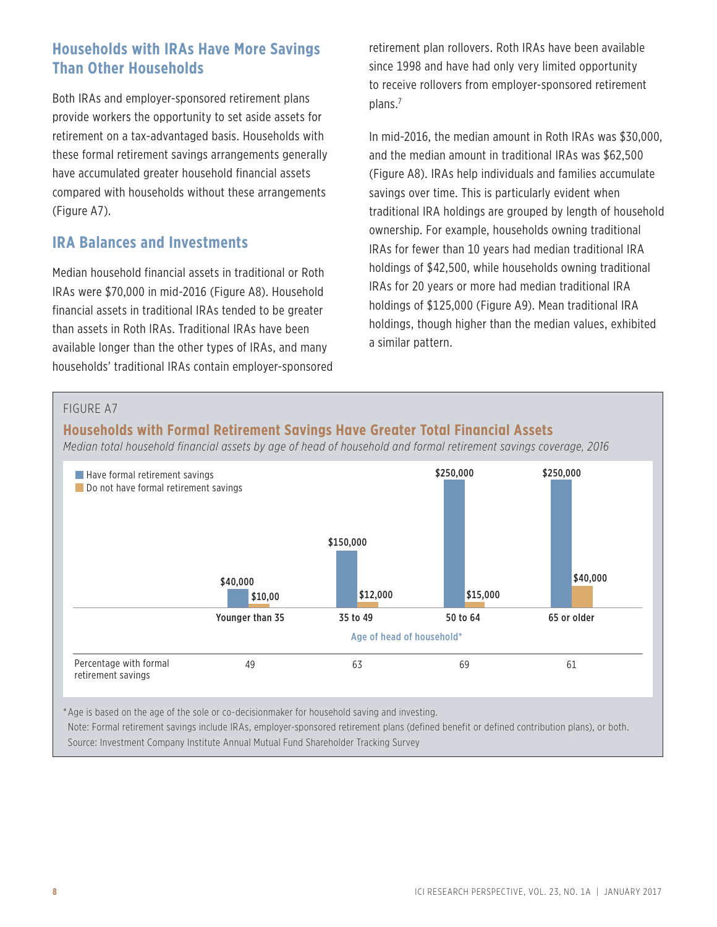# **Households with IRAs Have More Savings Than Other Households**

Both IRAs and employer-sponsored retirement plans provide workers the opportunity to set aside assets for retirement on a tax-advantaged basis. Households with these formal retirement savings arrangements generally have accumulated greater household financial assets compared with households without these arrangements (Figure A7).

# **IRA Balances and Investments**

Median household financial assets in traditional or Roth IRAs were \$70,000 in mid-2016 (Figure A8). Household financial assets in traditional IRAs tended to be greater than assets in Roth IRAs. Traditional IRAs have been available longer than the other types of IRAs, and many households' traditional IRAs contain employer-sponsored retirement plan rollovers. Roth IRAs have been available since 1998 and have had only very limited opportunity to receive rollovers from employer-sponsored retirement plans.7

In mid-2016, the median amount in Roth IRAs was \$30,000, and the median amount in traditional IRAs was \$62,500 (Figure A8). IRAs help individuals and families accumulate savings over time. This is particularly evident when traditional IRA holdings are grouped by length of household ownership. For example, households owning traditional IRAs for fewer than 10 years had median traditional IRA holdings of \$42,500, while households owning traditional IRAs for 20 years or more had median traditional IRA holdings of \$125,000 (Figure A9). Mean traditional IRA holdings, though higher than the median values, exhibited a similar pattern.

#### FIGURE A7

# **Households with Formal Retirement Savings Have Greater Total Financial Assets**

*Median total household financial assets by age of head of household and formal retirement savings coverage, 2016*



\*Age is based on the age of the sole or co-decisionmaker for household saving and investing.

Note: Formal retirement savings include IRAs, employer-sponsored retirement plans (defined benefit or defined contribution plans), or both. Source: Investment Company Institute Annual Mutual Fund Shareholder Tracking Survey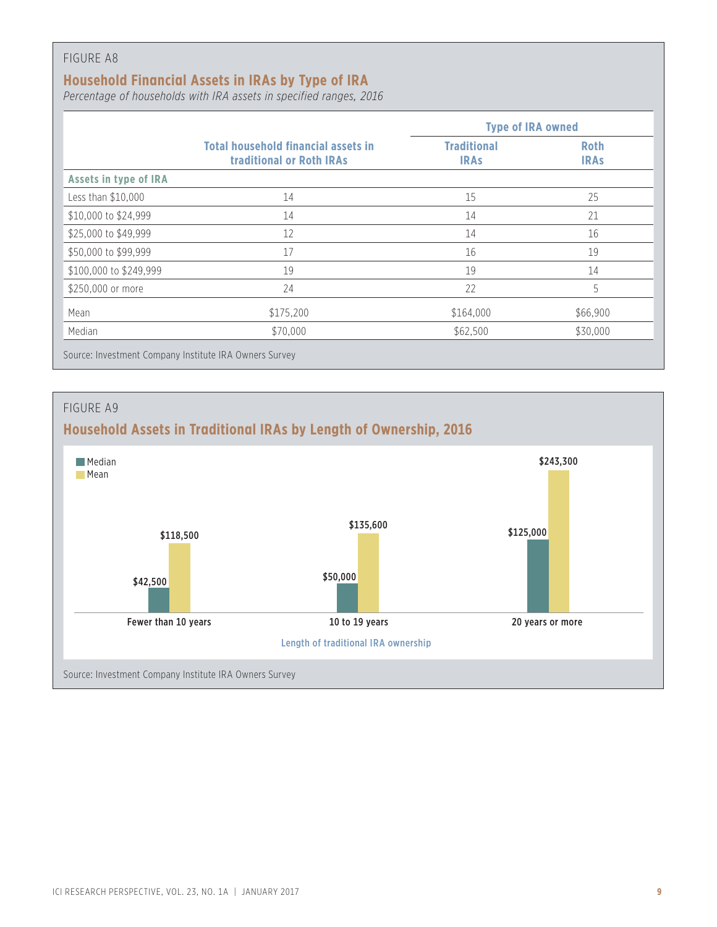#### FIGURE A8

# **Household Financial Assets in IRAs by Type of IRA**

*Percentage of households with IRA assets in specified ranges, 2016*

|                        |                                                                               | <b>Type of IRA owned</b>          |                            |
|------------------------|-------------------------------------------------------------------------------|-----------------------------------|----------------------------|
|                        | <b>Total household financial assets in</b><br><b>traditional or Roth IRAs</b> | <b>Traditional</b><br><b>IRAS</b> | <b>Roth</b><br><b>IRAS</b> |
| Assets in type of IRA  |                                                                               |                                   |                            |
| Less than \$10,000     | 14                                                                            | 15                                | 25                         |
| \$10,000 to \$24,999   | 14                                                                            | 14                                | 21                         |
| \$25,000 to \$49,999   | 12                                                                            | 14                                | 16                         |
| \$50,000 to \$99,999   | 17                                                                            | 16                                | 19                         |
| \$100,000 to \$249,999 | 19                                                                            | 19                                | 14                         |
| \$250,000 or more      | 24                                                                            | 22                                | 5                          |
| Mean                   | \$175,200                                                                     | \$164,000                         | \$66,900                   |
| Median                 | \$70,000                                                                      | \$62,500                          | \$30,000                   |

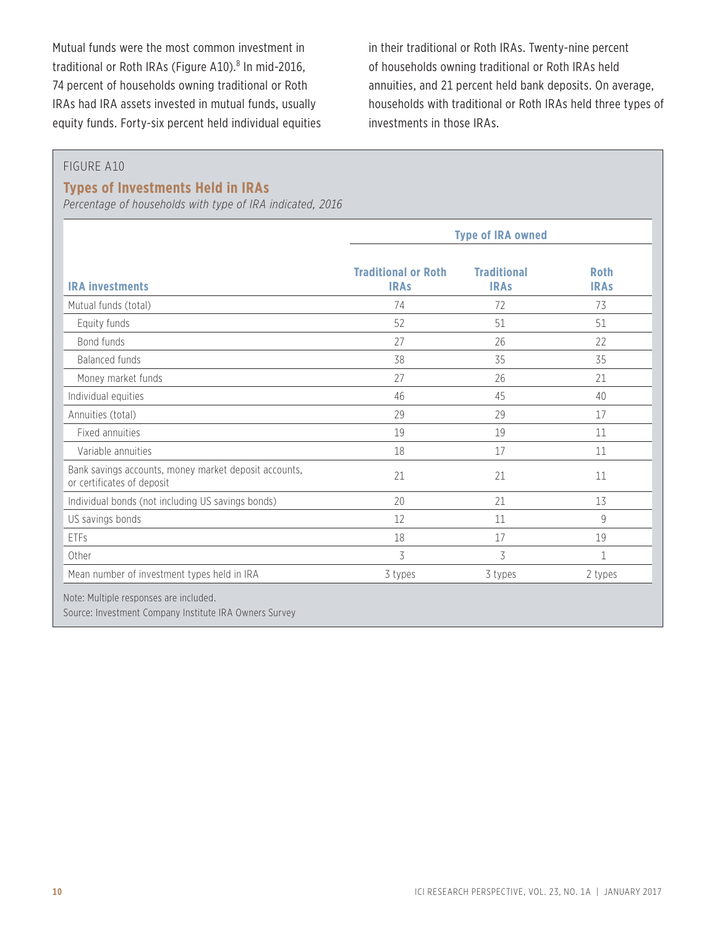Mutual funds were the most common investment in traditional or Roth IRAs (Figure A10).<sup>8</sup> In mid-2016, 74 percent of households owning traditional or Roth IRAs had IRA assets invested in mutual funds, usually equity funds. Forty-six percent held individual equities in their traditional or Roth IRAs. Twenty-nine percent of households owning traditional or Roth IRAs held annuities, and 21 percent held bank deposits. On average, households with traditional or Roth IRAs held three types of investments in those IRAs.

#### FIGURE A10

#### **Types of Investments Held in IRAs**

*Percentage of households with type of IRA indicated, 2016*

|                                                                                     | <b>Type of IRA owned</b>                  |                                   |                            |  |  |
|-------------------------------------------------------------------------------------|-------------------------------------------|-----------------------------------|----------------------------|--|--|
| <b>IRA investments</b>                                                              | <b>Traditional or Roth</b><br><b>IRAs</b> | <b>Traditional</b><br><b>IRAs</b> | <b>Roth</b><br><b>IRAs</b> |  |  |
| Mutual funds (total)                                                                | 74                                        | 72                                | 73                         |  |  |
| Equity funds                                                                        | 52                                        | 51                                | 51                         |  |  |
| Bond funds                                                                          | 27                                        | 26                                | 22                         |  |  |
| <b>Balanced funds</b>                                                               | 38                                        | 35                                | 35                         |  |  |
| Money market funds                                                                  | 27                                        | 26                                | 21                         |  |  |
| Individual equities                                                                 | 46                                        | 45                                | 40                         |  |  |
| Annuities (total)                                                                   | 29                                        | 29                                | 17                         |  |  |
| Fixed annuities                                                                     | 19                                        | 19                                | 11                         |  |  |
| Variable annuities                                                                  | 18                                        | 17                                | 11                         |  |  |
| Bank savings accounts, money market deposit accounts,<br>or certificates of deposit | 21                                        | 21                                | 11                         |  |  |
| Individual bonds (not including US savings bonds)                                   | 20                                        | 21                                | 13                         |  |  |
| US savings bonds                                                                    | 12                                        | 11                                | 9                          |  |  |
| ETFs                                                                                | 18                                        | 17                                | 19                         |  |  |
| Other                                                                               | 3                                         | 3                                 | $\mathbf{1}$               |  |  |
| Mean number of investment types held in IRA                                         | 3 types                                   | 3 types                           | 2 types                    |  |  |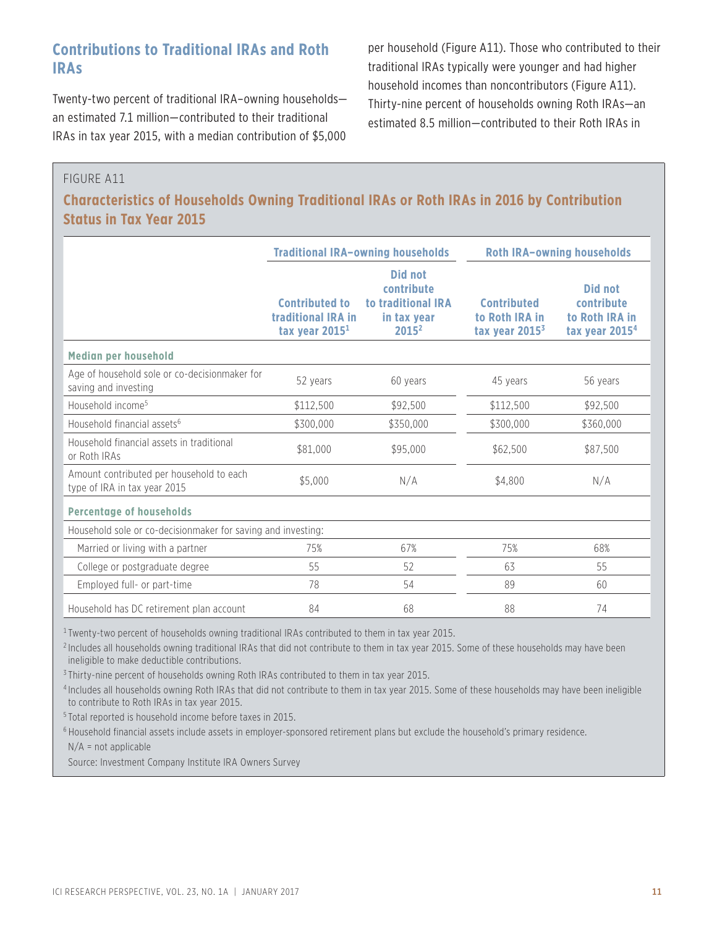# **Contributions to Traditional IRAs and Roth IRAs**

Twenty-two percent of traditional IRA–owning households an estimated 7.1 million—contributed to their traditional IRAs in tax year 2015, with a median contribution of \$5,000 per household (Figure A11). Those who contributed to their traditional IRAs typically were younger and had higher household incomes than noncontributors (Figure A11). Thirty-nine percent of households owning Roth IRAs—an estimated 8.5 million—contributed to their Roth IRAs in

### FIGURE A11

**Characteristics of Households Owning Traditional IRAs or Roth IRAs in 2016 by Contribution Status in Tax Year 2015**

|                                                                          |                                                                 | <b>Traditional IRA-owning households</b>                                      | <b>Roth IRA-owning households</b>                        |                                                                       |  |  |
|--------------------------------------------------------------------------|-----------------------------------------------------------------|-------------------------------------------------------------------------------|----------------------------------------------------------|-----------------------------------------------------------------------|--|--|
|                                                                          | <b>Contributed to</b><br>traditional IRA in<br>tax year $20151$ | <b>Did not</b><br>contribute<br>to traditional IRA<br>in tax year<br>$2015^2$ | <b>Contributed</b><br>to Roth IRA in<br>tax year $20153$ | Did not<br>contribute<br>to Roth IRA in<br>tax year 2015 <sup>4</sup> |  |  |
| Median per household                                                     |                                                                 |                                                                               |                                                          |                                                                       |  |  |
| Age of household sole or co-decisionmaker for<br>saving and investing    | 52 years                                                        | 60 years                                                                      | 45 years                                                 | 56 years                                                              |  |  |
| Household income <sup>5</sup>                                            | \$112,500                                                       | \$92,500                                                                      | \$112,500                                                | \$92,500                                                              |  |  |
| Household financial assets <sup>6</sup>                                  | \$300,000                                                       | \$350,000                                                                     | \$300,000                                                | \$360,000                                                             |  |  |
| Household financial assets in traditional<br>or Roth IRAs                | \$81,000                                                        | \$95,000                                                                      | \$62,500                                                 | \$87,500                                                              |  |  |
| Amount contributed per household to each<br>type of IRA in tax year 2015 | \$5,000                                                         | N/A                                                                           | \$4.800                                                  | N/A                                                                   |  |  |
| <b>Percentage of households</b>                                          |                                                                 |                                                                               |                                                          |                                                                       |  |  |
|                                                                          | Household sole or co-decisionmaker for saving and investing:    |                                                                               |                                                          |                                                                       |  |  |
| Married or living with a partner                                         | 75%                                                             | 67%                                                                           | 75%                                                      | 68%                                                                   |  |  |
| College or postgraduate degree                                           | 55                                                              | 52                                                                            | 63                                                       | 55                                                                    |  |  |
| Employed full- or part-time                                              | 78                                                              | 54                                                                            | 89                                                       | 60                                                                    |  |  |
| Household has DC retirement plan account                                 | 84                                                              | 68                                                                            | 88                                                       | 74                                                                    |  |  |

<sup>1</sup> Twenty-two percent of households owning traditional IRAs contributed to them in tax year 2015.

<sup>2</sup> Includes all households owning traditional IRAs that did not contribute to them in tax year 2015. Some of these households may have been ineligible to make deductible contributions.

<sup>3</sup> Thirty-nine percent of households owning Roth IRAs contributed to them in tax year 2015.

<sup>4</sup> Includes all households owning Roth IRAs that did not contribute to them in tax year 2015. Some of these households may have been ineligible to contribute to Roth IRAs in tax year 2015.

<sup>5</sup> Total reported is household income before taxes in 2015.

<sup>6</sup> Household financial assets include assets in employer-sponsored retirement plans but exclude the household's primary residence.

N/A = not applicable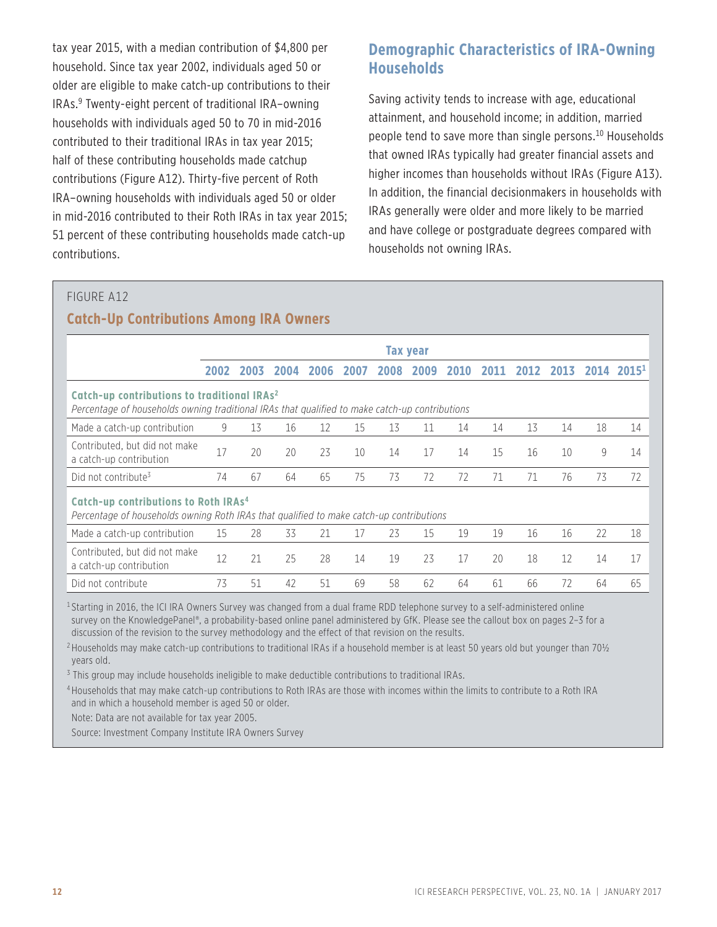tax year 2015, with a median contribution of \$4,800 per household. Since tax year 2002, individuals aged 50 or older are eligible to make catch-up contributions to their IRAs.9 Twenty-eight percent of traditional IRA–owning households with individuals aged 50 to 70 in mid-2016 contributed to their traditional IRAs in tax year 2015; half of these contributing households made catchup contributions (Figure A12). Thirty-five percent of Roth IRA–owning households with individuals aged 50 or older in mid-2016 contributed to their Roth IRAs in tax year 2015; 51 percent of these contributing households made catch-up contributions.

# **Demographic Characteristics of IRA-Owning Households**

Saving activity tends to increase with age, educational attainment, and household income; in addition, married people tend to save more than single persons.<sup>10</sup> Households that owned IRAs typically had greater financial assets and higher incomes than households without IRAs (Figure A13). In addition, the financial decisionmakers in households with IRAs generally were older and more likely to be married and have college or postgraduate degrees compared with households not owning IRAs.

#### FIGURE A12

#### **Catch-Up Contributions Among IRA Owners**

|                                                                                                                                                           |      |      |      |      |      |      | <b>Tax year</b> |      |      |      |      |    |                        |
|-----------------------------------------------------------------------------------------------------------------------------------------------------------|------|------|------|------|------|------|-----------------|------|------|------|------|----|------------------------|
|                                                                                                                                                           | 2002 | 2003 | 2004 | 2006 | 2007 | 2008 | 2009            | 2010 | 2011 | 2012 | 2013 |    | 2014 2015 <sup>1</sup> |
| Catch-up contributions to traditional IRAs <sup>2</sup><br>Percentage of households owning traditional IRAs that qualified to make catch-up contributions |      |      |      |      |      |      |                 |      |      |      |      |    |                        |
| Made a catch-up contribution                                                                                                                              | 9    | 13   | 16   | 12   | 15   | 13   | 11              | 14   | 14   | 13   | 14   | 18 | 14                     |
| Contributed, but did not make<br>a catch-up contribution                                                                                                  | 17   | 20   | 20   | 23   | 10   | 14   | 17              | 14   | 15   | 16   | 10   | 9  | 14                     |
| Did not contribute <sup>3</sup>                                                                                                                           | 74   | 67   | 64   | 65   | 75   | 73   | 72              | 72   | 71   | 71   | 76   | 73 | 72                     |
| Catch-up contributions to Roth IRAs <sup>4</sup><br>Percentage of households owning Roth IRAs that qualified to make catch-up contributions               |      |      |      |      |      |      |                 |      |      |      |      |    |                        |
| Made a catch-up contribution                                                                                                                              | 15   | 28   | 33   | 21   | 17   | 23   | 15              | 19   | 19   | 16   | 16   | 22 | 18                     |
| Contributed, but did not make<br>a catch-up contribution                                                                                                  | 12   | 21   | 25   | 28   | 14   | 19   | 23              | 17   | 20   | 18   | 12   | 14 | 17                     |
| Did not contribute                                                                                                                                        | 73   | 51   | 42   | 51   | 69   | 58   | 62              | 64   | 61   | 66   | 72   | 64 | 65                     |

<sup>1</sup> Starting in 2016, the ICI IRA Owners Survey was changed from a dual frame RDD telephone survey to a self-administered online survey on the KnowledgePanel®, a probability-based online panel administered by GfK. Please see the callout box on pages 2-3 for a discussion of the revision to the survey methodology and the effect of that revision on the results.

<sup>2</sup> Households may make catch-up contributions to traditional IRAs if a household member is at least 50 years old but younger than 70 $\frac{1}{2}$ years old.

<sup>3</sup> This group may include households ineligible to make deductible contributions to traditional IRAs.

<sup>4</sup> Households that may make catch-up contributions to Roth IRAs are those with incomes within the limits to contribute to a Roth IRA and in which a household member is aged 50 or older.

Note: Data are not available for tax year 2005.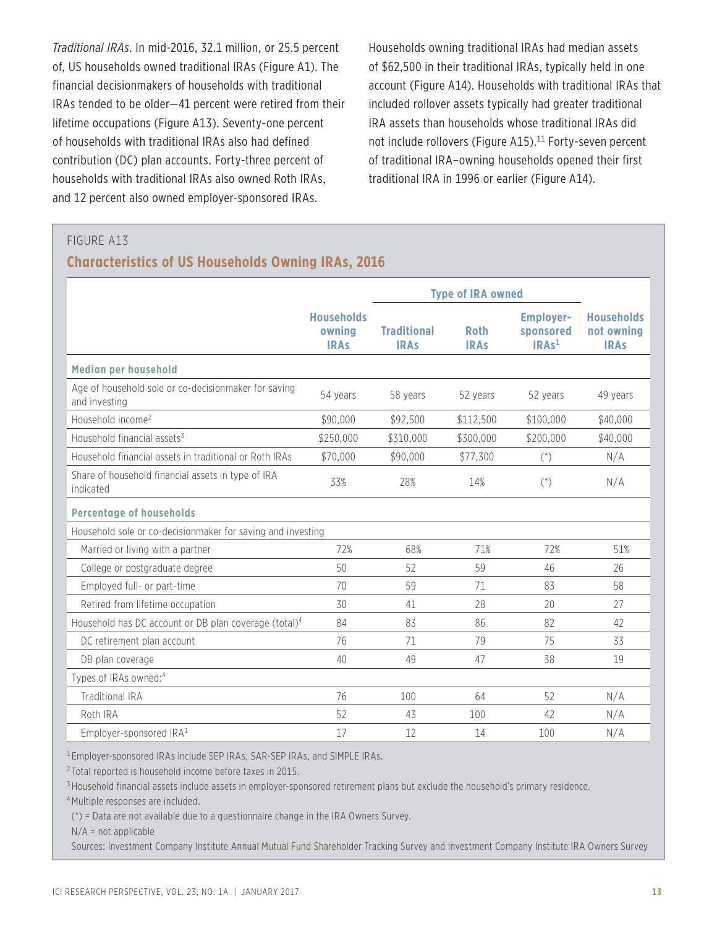*Traditional IRAs*. In mid-2016, 32.1 million, or 25.5 percent of, US households owned traditional IRAs (Figure A1). The financial decisionmakers of households with traditional IRAs tended to be older—41 percent were retired from their lifetime occupations (Figure A13). Seventy-one percent of households with traditional IRAs also had defined contribution (DC) plan accounts. Forty-three percent of households with traditional IRAs also owned Roth IRAs, and 12 percent also owned employer-sponsored IRAs.

Households owning traditional IRAs had median assets of \$62,500 in their traditional IRAs, typically held in one account (Figure A14). Households with traditional IRAs that included rollover assets typically had greater traditional IRA assets than households whose traditional IRAs did not include rollovers (Figure A15).<sup>11</sup> Forty-seven percent of traditional IRA–owning households opened their first traditional IRA in 1996 or earlier (Figure A14).

#### FIGURE A13

#### **Characteristics of US Households Owning IRAs, 2016**

|                                                                       |                                            | <b>Type of IRA owned</b>          |                            |                                                    |                                                |
|-----------------------------------------------------------------------|--------------------------------------------|-----------------------------------|----------------------------|----------------------------------------------------|------------------------------------------------|
|                                                                       | <b>Households</b><br>owning<br><b>IRAs</b> | <b>Traditional</b><br><b>IRAs</b> | <b>Roth</b><br><b>IRAs</b> | <b>Employer-</b><br>sponsored<br>IRAs <sup>1</sup> | <b>Households</b><br>not owning<br><b>IRAs</b> |
| Median per household                                                  |                                            |                                   |                            |                                                    |                                                |
| Age of household sole or co-decisionmaker for saving<br>and investing | 54 years                                   | 58 years                          | 52 years                   | 52 years                                           | 49 years                                       |
| Household income <sup>2</sup>                                         | \$90,000                                   | \$92,500                          | \$112,500                  | \$100,000                                          | \$40,000                                       |
| Household financial assets <sup>3</sup>                               | \$250,000                                  | \$310,000                         | \$300,000                  | \$200,000                                          | \$40,000                                       |
| Household financial assets in traditional or Roth IRAs                | \$70,000                                   | \$90,000                          | \$77,300                   | $(*)$                                              | N/A                                            |
| Share of household financial assets in type of IRA<br>indicated       | 33%                                        | 28%                               | 14%                        | $(*)$                                              | N/A                                            |
| <b>Percentage of households</b>                                       |                                            |                                   |                            |                                                    |                                                |
| Household sole or co-decisionmaker for saving and investing           |                                            |                                   |                            |                                                    |                                                |
| Married or living with a partner                                      | 72%                                        | 68%                               | 71%                        | 72%                                                | 51%                                            |
| College or postgraduate degree                                        | 50                                         | 52                                | 59                         | 46                                                 | 26                                             |
| Employed full- or part-time                                           | 70                                         | 59                                | 71                         | 83                                                 | 58                                             |
| Retired from lifetime occupation                                      | 30                                         | 41                                | 28                         | 20                                                 | 27                                             |
| Household has DC account or DB plan coverage (total) <sup>4</sup>     | 84                                         | 83                                | 86                         | 82                                                 | 42                                             |
| DC retirement plan account                                            | 76                                         | 71                                | 79                         | 75                                                 | 33                                             |
| DB plan coverage                                                      | 40                                         | 49                                | 47                         | 38                                                 | 19                                             |
| Types of IRAs owned: <sup>4</sup>                                     |                                            |                                   |                            |                                                    |                                                |
| <b>Traditional IRA</b>                                                | 76                                         | 100                               | 64                         | 52                                                 | N/A                                            |
| Roth IRA                                                              | 52                                         | 43                                | 100                        | 42                                                 | N/A                                            |
| Employer-sponsored IRA <sup>1</sup>                                   | 17                                         | 12                                | 14                         | 100                                                | N/A                                            |

<sup>1</sup> Employer-sponsored IRAs include SEP IRAs, SAR-SEP IRAs, and SIMPLE IRAs.

<sup>2</sup> Total reported is household income before taxes in 2015.

<sup>3</sup> Household financial assets include assets in employer-sponsored retirement plans but exclude the household's primary residence.

4Multiple responses are included.

(\*) = Data are not available due to a questionnaire change in the IRA Owners Survey.

 $N/A$  = not applicable

Sources: Investment Company Institute Annual Mutual Fund Shareholder Tracking Survey and Investment Company Institute IRA Owners Survey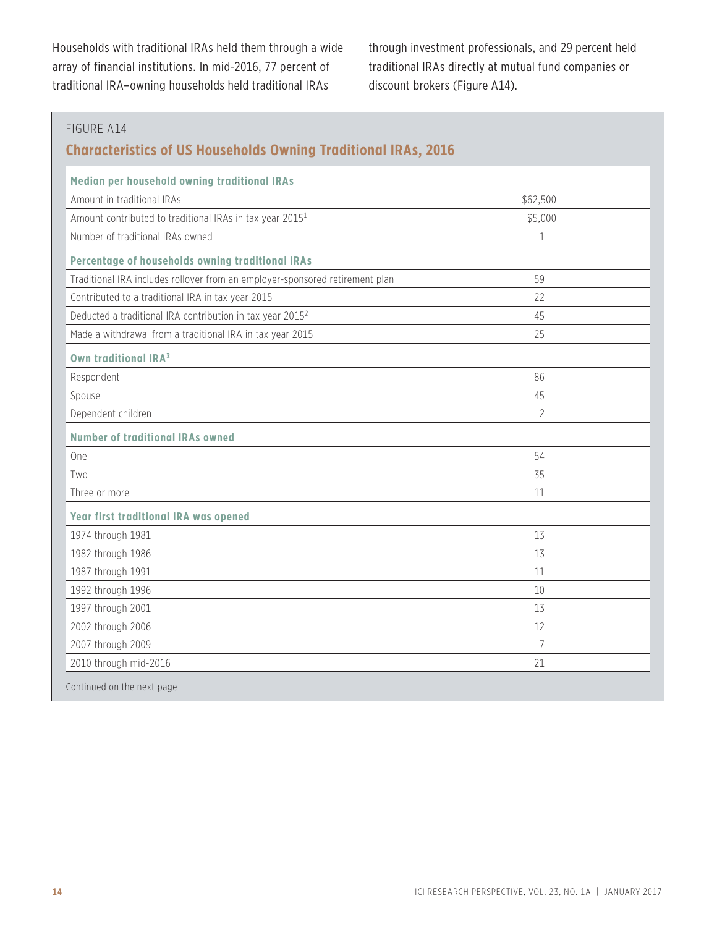Households with traditional IRAs held them through a wide array of financial institutions. In mid-2016, 77 percent of traditional IRA–owning households held traditional IRAs

through investment professionals, and 29 percent held traditional IRAs directly at mutual fund companies or discount brokers (Figure A14).

| Median per household owning traditional IRAs                                 |                |
|------------------------------------------------------------------------------|----------------|
| Amount in traditional IRAs                                                   | \$62,500       |
| Amount contributed to traditional IRAs in tax year 2015 <sup>1</sup>         | \$5,000        |
| Number of traditional IRAs owned                                             | $\mathbf{1}$   |
| Percentage of households owning traditional IRAs                             |                |
| Traditional IRA includes rollover from an employer-sponsored retirement plan | 59             |
| Contributed to a traditional IRA in tax year 2015                            | 22             |
| Deducted a traditional IRA contribution in tax year 2015 <sup>2</sup>        | 45             |
| Made a withdrawal from a traditional IRA in tax year 2015                    | 25             |
| Own traditional IRA <sup>3</sup>                                             |                |
| Respondent                                                                   | 86             |
| Spouse                                                                       | 45             |
| Dependent children                                                           | $\overline{2}$ |
| <b>Number of traditional IRAs owned</b>                                      |                |
| One                                                                          | 54             |
| Two                                                                          | 35             |
| Three or more                                                                | 11             |
| Year first traditional IRA was opened                                        |                |
| 1974 through 1981                                                            | 13             |
| 1982 through 1986                                                            | 13             |
| 1987 through 1991                                                            | 11             |
| 1992 through 1996                                                            | 10             |
| 1997 through 2001                                                            | 13             |
| 2002 through 2006                                                            | 12             |
| 2007 through 2009                                                            | $\overline{7}$ |
| 2010 through mid-2016                                                        | 21             |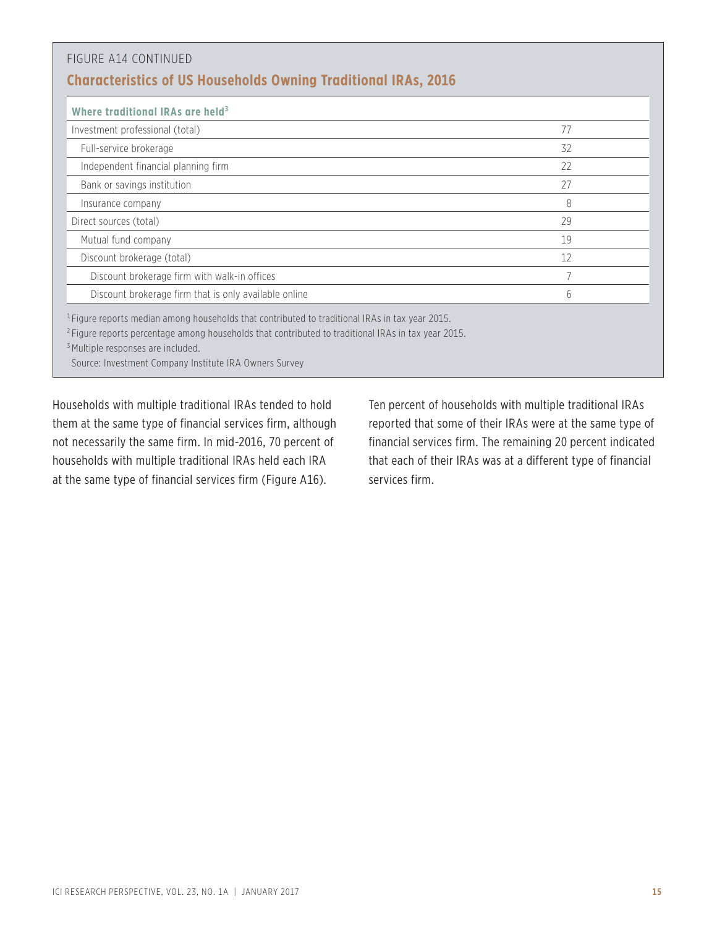| Where traditional IRAs are held <sup>3</sup>          |    |
|-------------------------------------------------------|----|
| Investment professional (total)                       | 77 |
| Full-service brokerage                                | 32 |
| Independent financial planning firm                   | 22 |
| Bank or savings institution                           | 27 |
| Insurance company                                     | 8  |
| Direct sources (total)                                | 29 |
| Mutual fund company                                   | 19 |
| Discount brokerage (total)                            | 12 |
| Discount brokerage firm with walk-in offices          |    |
| Discount brokerage firm that is only available online | 6  |

Source: Investment Company Institute IRA Owners Survey

Households with multiple traditional IRAs tended to hold them at the same type of financial services firm, although not necessarily the same firm. In mid-2016, 70 percent of households with multiple traditional IRAs held each IRA at the same type of financial services firm (Figure A16).

Ten percent of households with multiple traditional IRAs reported that some of their IRAs were at the same type of financial services firm. The remaining 20 percent indicated that each of their IRAs was at a different type of financial services firm.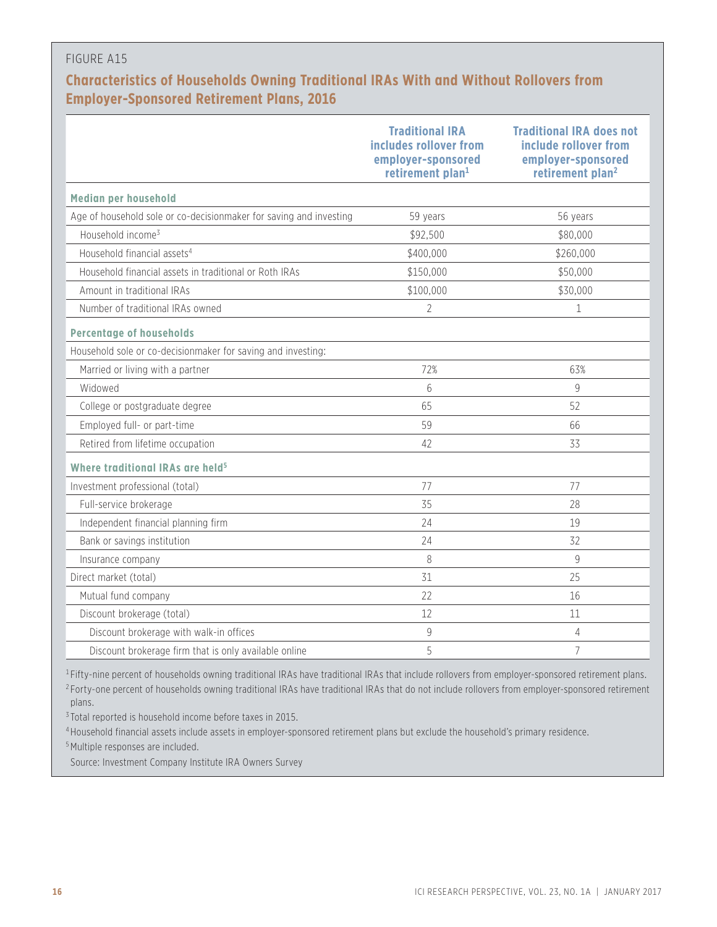## FIGURE A15

# **Characteristics of Households Owning Traditional IRAs With and Without Rollovers from Employer-Sponsored Retirement Plans, 2016**

|                                                                    | <b>Traditional IRA</b><br>includes rollover from<br>employer-sponsored<br>retirement plan <sup>1</sup> | <b>Traditional IRA does not</b><br>include rollover from<br>employer-sponsored<br>retirement plan <sup>2</sup> |
|--------------------------------------------------------------------|--------------------------------------------------------------------------------------------------------|----------------------------------------------------------------------------------------------------------------|
| Median per household                                               |                                                                                                        |                                                                                                                |
| Age of household sole or co-decisionmaker for saving and investing | 59 years                                                                                               | 56 years                                                                                                       |
| Household income <sup>3</sup>                                      | \$92,500                                                                                               | \$80,000                                                                                                       |
| Household financial assets <sup>4</sup>                            | \$400,000                                                                                              | \$260,000                                                                                                      |
| Household financial assets in traditional or Roth IRAs             | \$150,000                                                                                              | \$50,000                                                                                                       |
| Amount in traditional IRAs                                         | \$100,000                                                                                              | \$30,000                                                                                                       |
| Number of traditional IRAs owned                                   | $\overline{2}$                                                                                         | 1                                                                                                              |
| <b>Percentage of households</b>                                    |                                                                                                        |                                                                                                                |
| Household sole or co-decisionmaker for saving and investing:       |                                                                                                        |                                                                                                                |
| Married or living with a partner                                   | 72%                                                                                                    | 63%                                                                                                            |
| Widowed                                                            | 6                                                                                                      | $\mathsf{Q}$                                                                                                   |
| College or postgraduate degree                                     | 65                                                                                                     | 52                                                                                                             |
| Employed full- or part-time                                        | 59                                                                                                     | 66                                                                                                             |
| Retired from lifetime occupation                                   | 42                                                                                                     | 33                                                                                                             |
| Where traditional IRAs are held <sup>5</sup>                       |                                                                                                        |                                                                                                                |
| Investment professional (total)                                    | 77                                                                                                     | 77                                                                                                             |
| Full-service brokerage                                             | 35                                                                                                     | 28                                                                                                             |
| Independent financial planning firm                                | 24                                                                                                     | 19                                                                                                             |
| Bank or savings institution                                        | 24                                                                                                     | 32                                                                                                             |
| Insurance company                                                  | 8                                                                                                      | $\mathbf{Q}$                                                                                                   |
| Direct market (total)                                              | 31                                                                                                     | 25                                                                                                             |
| Mutual fund company                                                | 22                                                                                                     | 16                                                                                                             |
| Discount brokerage (total)                                         | 12                                                                                                     | 11                                                                                                             |
| Discount brokerage with walk-in offices                            | $\mathsf 9$                                                                                            | $\overline{4}$                                                                                                 |
| Discount brokerage firm that is only available online              | 5                                                                                                      | $\overline{7}$                                                                                                 |

<sup>1</sup> Fifty-nine percent of households owning traditional IRAs have traditional IRAs that include rollovers from employer-sponsored retirement plans.

<sup>2</sup> Forty-one percent of households owning traditional IRAs have traditional IRAs that do not include rollovers from employer-sponsored retirement plans.

<sup>3</sup> Total reported is household income before taxes in 2015.

<sup>4</sup> Household financial assets include assets in employer-sponsored retirement plans but exclude the household's primary residence.

<sup>5</sup> Multiple responses are included.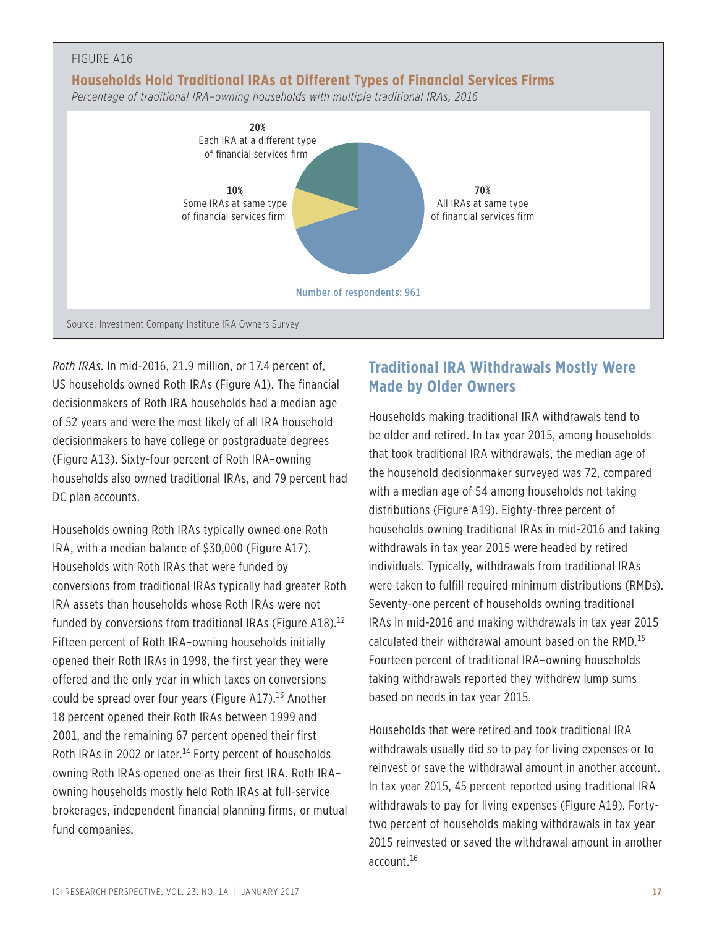

*Roth IRAs*. In mid-2016, 21.9 million, or 17.4 percent of, US households owned Roth IRAs (Figure A1). The financial decisionmakers of Roth IRA households had a median age of 52 years and were the most likely of all IRA household decisionmakers to have college or postgraduate degrees (Figure A13). Sixty-four percent of Roth IRA–owning households also owned traditional IRAs, and 79 percent had DC plan accounts.

Households owning Roth IRAs typically owned one Roth IRA, with a median balance of \$30,000 (Figure A17). Households with Roth IRAs that were funded by conversions from traditional IRAs typically had greater Roth IRA assets than households whose Roth IRAs were not funded by conversions from traditional IRAs (Figure A18).<sup>12</sup> Fifteen percent of Roth IRA–owning households initially opened their Roth IRAs in 1998, the first year they were offered and the only year in which taxes on conversions could be spread over four years (Figure A17).<sup>13</sup> Another 18 percent opened their Roth IRAs between 1999 and 2001, and the remaining 67 percent opened their first Roth IRAs in 2002 or later.<sup>14</sup> Forty percent of households owning Roth IRAs opened one as their first IRA. Roth IRA– owning households mostly held Roth IRAs at full-service brokerages, independent financial planning firms, or mutual fund companies.

# **Traditional IRA Withdrawals Mostly Were Made by Older Owners**

Households making traditional IRA withdrawals tend to be older and retired. In tax year 2015, among households that took traditional IRA withdrawals, the median age of the household decisionmaker surveyed was 72, compared with a median age of 54 among households not taking distributions (Figure A19). Eighty-three percent of households owning traditional IRAs in mid-2016 and taking withdrawals in tax year 2015 were headed by retired individuals. Typically, withdrawals from traditional IRAs were taken to fulfill required minimum distributions (RMDs). Seventy-one percent of households owning traditional IRAs in mid-2016 and making withdrawals in tax year 2015 calculated their withdrawal amount based on the RMD.15 Fourteen percent of traditional IRA–owning households taking withdrawals reported they withdrew lump sums based on needs in tax year 2015.

Households that were retired and took traditional IRA withdrawals usually did so to pay for living expenses or to reinvest or save the withdrawal amount in another account. In tax year 2015, 45 percent reported using traditional IRA withdrawals to pay for living expenses (Figure A19). Fortytwo percent of households making withdrawals in tax year 2015 reinvested or saved the withdrawal amount in another account.16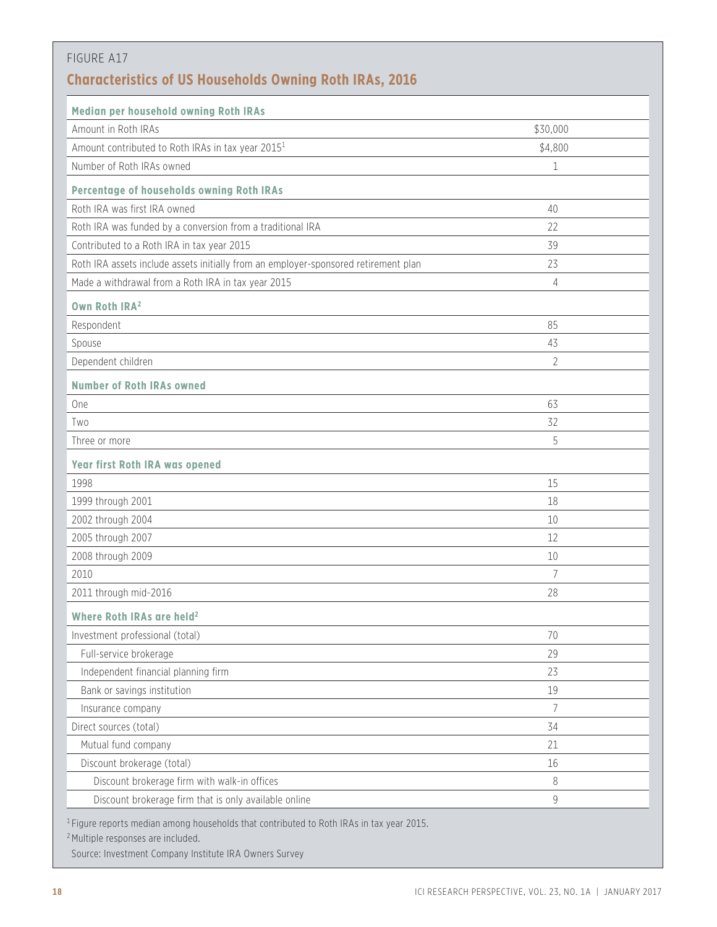| FIGURE A17                                                                          |                |
|-------------------------------------------------------------------------------------|----------------|
| <b>Characteristics of US Households Owning Roth IRAs, 2016</b>                      |                |
| Median per household owning Roth IRAs                                               |                |
| Amount in Roth IRAs                                                                 | \$30,000       |
| Amount contributed to Roth IRAs in tax year 2015 <sup>1</sup>                       | \$4,800        |
| Number of Roth IRAs owned                                                           | 1              |
| Percentage of households owning Roth IRAs                                           |                |
| Roth IRA was first IRA owned                                                        | 40             |
| Roth IRA was funded by a conversion from a traditional IRA                          | 22             |
| Contributed to a Roth IRA in tax year 2015                                          | 39             |
| Roth IRA assets include assets initially from an employer-sponsored retirement plan | 23             |
| Made a withdrawal from a Roth IRA in tax year 2015                                  | 4              |
|                                                                                     |                |
| Own Roth IRA <sup>2</sup>                                                           | 85             |
| Respondent                                                                          |                |
| Spouse                                                                              | 43             |
| Dependent children                                                                  | 2              |
| <b>Number of Roth IRAs owned</b>                                                    |                |
| <b>One</b>                                                                          | 63             |
| Two                                                                                 | 32             |
| Three or more                                                                       | 5              |
| <b>Year first Roth IRA was opened</b>                                               |                |
| 1998                                                                                | 15             |
| 1999 through 2001                                                                   | 18             |
| 2002 through 2004                                                                   | 10             |
| 2005 through 2007                                                                   | 12             |
| 2008 through 2009                                                                   | 10             |
| 2010                                                                                | $\overline{7}$ |
| 2011 through mid-2016                                                               | 28             |
| Where Roth IRAs are held <sup>2</sup>                                               |                |
| Investment professional (total)                                                     | 70             |
| Full-service brokerage                                                              | 29             |
| Independent financial planning firm                                                 | 23             |
| Bank or savings institution                                                         | 19             |
| Insurance company                                                                   | $\overline{7}$ |
| Direct sources (total)                                                              | 34             |
| Mutual fund company                                                                 | 21             |
| Discount brokerage (total)                                                          | 16             |
| Discount brokerage firm with walk-in offices                                        | 8              |
| Discount brokerage firm that is only available online                               | 9              |

<sup>2</sup> Multiple responses are included.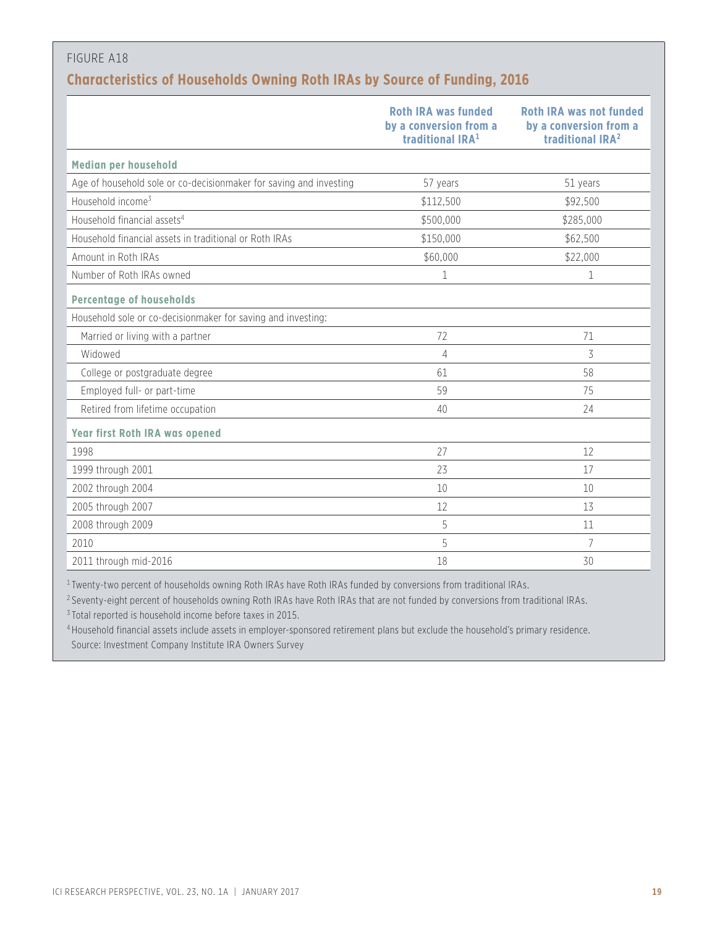# FIGURE A18 **Characteristics of Households Owning Roth IRAs by Source of Funding, 2016**

|                                                                    | <b>Roth IRA was funded</b><br>by a conversion from a<br>traditional IRA <sup>1</sup> | <b>Roth IRA was not funded</b><br>by a conversion from a<br>traditional IRA <sup>2</sup> |
|--------------------------------------------------------------------|--------------------------------------------------------------------------------------|------------------------------------------------------------------------------------------|
| Median per household                                               |                                                                                      |                                                                                          |
| Age of household sole or co-decisionmaker for saving and investing | 57 years                                                                             | 51 years                                                                                 |
| Household income <sup>3</sup>                                      | \$112,500                                                                            | \$92,500                                                                                 |
| Household financial assets <sup>4</sup>                            | \$500,000                                                                            | \$285,000                                                                                |
| Household financial assets in traditional or Roth IRAs             | \$150,000                                                                            | \$62,500                                                                                 |
| Amount in Roth IRAs                                                | \$60,000                                                                             | \$22,000                                                                                 |
| Number of Roth IRAs owned                                          | 1                                                                                    | 1                                                                                        |
| <b>Percentage of households</b>                                    |                                                                                      |                                                                                          |
| Household sole or co-decisionmaker for saving and investing:       |                                                                                      |                                                                                          |
| Married or living with a partner                                   | 72                                                                                   | 71                                                                                       |
| Widowed                                                            | 4                                                                                    | 3                                                                                        |
| College or postgraduate degree                                     | 61                                                                                   | 58                                                                                       |
| Employed full- or part-time                                        | 59                                                                                   | 75                                                                                       |
| Retired from lifetime occupation                                   | 40                                                                                   | 24                                                                                       |
| <b>Year first Roth IRA was opened</b>                              |                                                                                      |                                                                                          |
| 1998                                                               | 27                                                                                   | 12                                                                                       |
| 1999 through 2001                                                  | 23                                                                                   | 17                                                                                       |
| 2002 through 2004                                                  | 10                                                                                   | 10                                                                                       |
| 2005 through 2007                                                  | 12                                                                                   | 13                                                                                       |
| 2008 through 2009                                                  | 5                                                                                    | 11                                                                                       |
| 2010                                                               | 5                                                                                    | 7                                                                                        |
| 2011 through mid-2016                                              | 18                                                                                   | 30                                                                                       |

<sup>1</sup> Twenty-two percent of households owning Roth IRAs have Roth IRAs funded by conversions from traditional IRAs.

<sup>2</sup> Seventy-eight percent of households owning Roth IRAs have Roth IRAs that are not funded by conversions from traditional IRAs.

<sup>3</sup> Total reported is household income before taxes in 2015.

<sup>4</sup> Household financial assets include assets in employer-sponsored retirement plans but exclude the household's primary residence. Source: Investment Company Institute IRA Owners Survey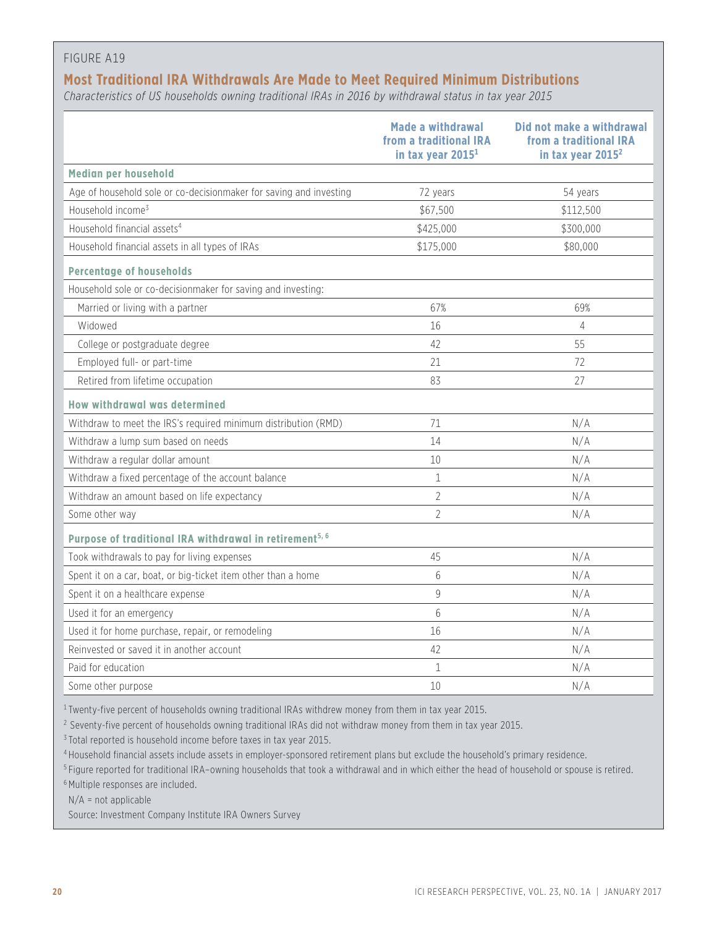#### FIGURE A19

# **Most Traditional IRA Withdrawals Are Made to Meet Required Minimum Distributions**

*Characteristics of US households owning traditional IRAs in 2016 by withdrawal status in tax year 2015*

|                                                                     | <b>Made a withdrawal</b><br>from a traditional IRA<br>in tax year 2015 <sup>1</sup> | Did not make a withdrawal<br>from a traditional IRA<br>in tax year 2015 <sup>2</sup> |
|---------------------------------------------------------------------|-------------------------------------------------------------------------------------|--------------------------------------------------------------------------------------|
| Median per household                                                |                                                                                     |                                                                                      |
| Age of household sole or co-decisionmaker for saving and investing  | 72 years                                                                            | 54 years                                                                             |
| Household income <sup>3</sup>                                       | \$67,500                                                                            | \$112,500                                                                            |
| Household financial assets <sup>4</sup>                             | \$425,000                                                                           | \$300,000                                                                            |
| Household financial assets in all types of IRAs                     | \$175,000                                                                           | \$80,000                                                                             |
| <b>Percentage of households</b>                                     |                                                                                     |                                                                                      |
| Household sole or co-decisionmaker for saving and investing:        |                                                                                     |                                                                                      |
| Married or living with a partner                                    | 67%                                                                                 | 69%                                                                                  |
| Widowed                                                             | 16                                                                                  | $\overline{4}$                                                                       |
| College or postgraduate degree                                      | 42                                                                                  | 55                                                                                   |
| Employed full- or part-time                                         | 21                                                                                  | 72                                                                                   |
| Retired from lifetime occupation                                    | 83                                                                                  | 27                                                                                   |
| How withdrawal was determined                                       |                                                                                     |                                                                                      |
| Withdraw to meet the IRS's required minimum distribution (RMD)      | 71                                                                                  | N/A                                                                                  |
| Withdraw a lump sum based on needs                                  | 14                                                                                  | N/A                                                                                  |
| Withdraw a regular dollar amount                                    | 10                                                                                  | N/A                                                                                  |
| Withdraw a fixed percentage of the account balance                  | $\mathbf 1$                                                                         | N/A                                                                                  |
| Withdraw an amount based on life expectancy                         | $\overline{2}$                                                                      | N/A                                                                                  |
| Some other way                                                      | $\overline{2}$                                                                      | N/A                                                                                  |
| Purpose of traditional IRA withdrawal in retirement <sup>5, 6</sup> |                                                                                     |                                                                                      |
| Took withdrawals to pay for living expenses                         | 45                                                                                  | N/A                                                                                  |
| Spent it on a car, boat, or big-ticket item other than a home       | 6                                                                                   | N/A                                                                                  |
| Spent it on a healthcare expense                                    | 9                                                                                   | N/A                                                                                  |
| Used it for an emergency                                            | 6                                                                                   | N/A                                                                                  |
| Used it for home purchase, repair, or remodeling                    | 16                                                                                  | N/A                                                                                  |
| Reinvested or saved it in another account                           | 42                                                                                  | N/A                                                                                  |
| Paid for education                                                  | $\mathbf 1$                                                                         | N/A                                                                                  |
| Some other purpose                                                  | 10                                                                                  | N/A                                                                                  |

<sup>1</sup> Twenty-five percent of households owning traditional IRAs withdrew money from them in tax year 2015.

<sup>2</sup> Seventy-five percent of households owning traditional IRAs did not withdraw money from them in tax year 2015.

<sup>3</sup> Total reported is household income before taxes in tax year 2015.

<sup>4</sup> Household financial assets include assets in employer-sponsored retirement plans but exclude the household's primary residence.

<sup>5</sup> Figure reported for traditional IRA–owning households that took a withdrawal and in which either the head of household or spouse is retired.

<sup>6</sup> Multiple responses are included.

 $N/A$  = not applicable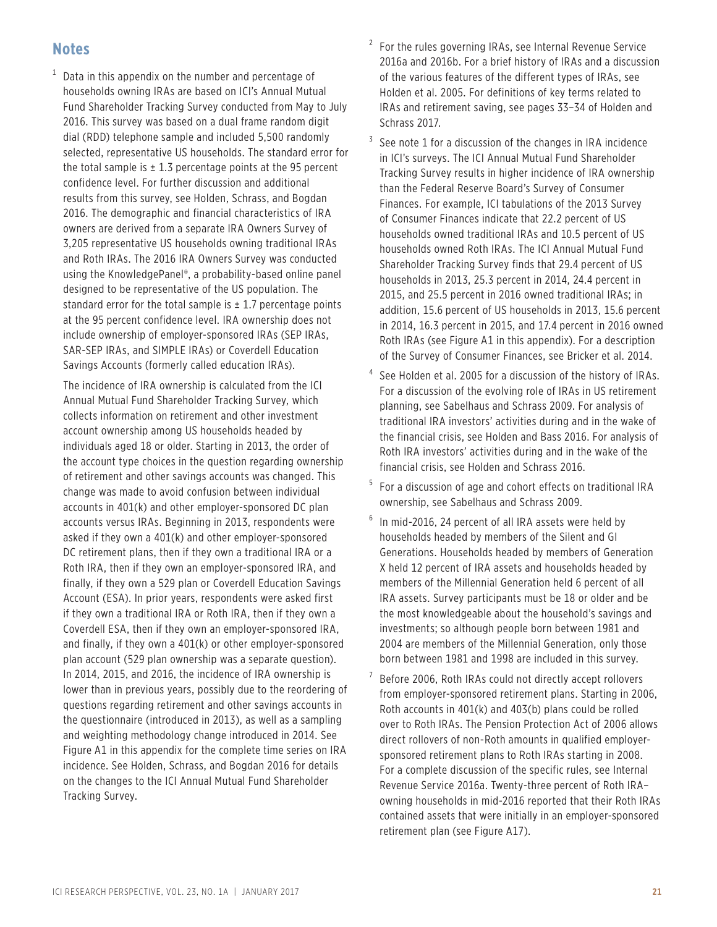# **Notes**

 $^{\rm 1}$  Data in this appendix on the number and percentage of households owning IRAs are based on ICI's Annual Mutual Fund Shareholder Tracking Survey conducted from May to July 2016. This survey was based on a dual frame random digit dial (RDD) telephone sample and included 5,500 randomly selected, representative US households. The standard error for the total sample is  $\pm$  1.3 percentage points at the 95 percent confidence level. For further discussion and additional results from this survey, see Holden, Schrass, and Bogdan 2016. The demographic and financial characteristics of IRA owners are derived from a separate IRA Owners Survey of 3,205 representative US households owning traditional IRAs and Roth IRAs. The 2016 IRA Owners Survey was conducted using the KnowledgePanel®, a probability-based online panel designed to be representative of the US population. The standard error for the total sample is  $\pm$  1.7 percentage points at the 95 percent confidence level. IRA ownership does not include ownership of employer-sponsored IRAs (SEP IRAs, SAR-SEP IRAs, and SIMPLE IRAs) or Coverdell Education Savings Accounts (formerly called education IRAs).

The incidence of IRA ownership is calculated from the ICI Annual Mutual Fund Shareholder Tracking Survey, which collects information on retirement and other investment account ownership among US households headed by individuals aged 18 or older. Starting in 2013, the order of the account type choices in the question regarding ownership of retirement and other savings accounts was changed. This change was made to avoid confusion between individual accounts in 401(k) and other employer-sponsored DC plan accounts versus IRAs. Beginning in 2013, respondents were asked if they own a 401(k) and other employer-sponsored DC retirement plans, then if they own a traditional IRA or a Roth IRA, then if they own an employer-sponsored IRA, and finally, if they own a 529 plan or Coverdell Education Savings Account (ESA). In prior years, respondents were asked first if they own a traditional IRA or Roth IRA, then if they own a Coverdell ESA, then if they own an employer-sponsored IRA, and finally, if they own a 401(k) or other employer-sponsored plan account (529 plan ownership was a separate question). In 2014, 2015, and 2016, the incidence of IRA ownership is lower than in previous years, possibly due to the reordering of questions regarding retirement and other savings accounts in the questionnaire (introduced in 2013), as well as a sampling and weighting methodology change introduced in 2014. See Figure A1 in this appendix for the complete time series on IRA incidence. See Holden, Schrass, and Bogdan 2016 for details on the changes to the ICI Annual Mutual Fund Shareholder Tracking Survey.

- $2$  For the rules governing IRAs, see Internal Revenue Service 2016a and 2016b. For a brief history of IRAs and a discussion of the various features of the different types of IRAs, see Holden et al. 2005. For definitions of key terms related to IRAs and retirement saving, see pages 33–34 of Holden and Schrass 2017.
- $3$  See note 1 for a discussion of the changes in IRA incidence in ICI's surveys. The ICI Annual Mutual Fund Shareholder Tracking Survey results in higher incidence of IRA ownership than the Federal Reserve Board's Survey of Consumer Finances. For example, ICI tabulations of the 2013 Survey of Consumer Finances indicate that 22.2 percent of US households owned traditional IRAs and 10.5 percent of US households owned Roth IRAs. The ICI Annual Mutual Fund Shareholder Tracking Survey finds that 29.4 percent of US households in 2013, 25.3 percent in 2014, 24.4 percent in 2015, and 25.5 percent in 2016 owned traditional IRAs; in addition, 15.6 percent of US households in 2013, 15.6 percent in 2014, 16.3 percent in 2015, and 17.4 percent in 2016 owned Roth IRAs (see Figure A1 in this appendix). For a description of the Survey of Consumer Finances, see Bricker et al. 2014.
- See Holden et al. 2005 for a discussion of the history of IRAs. For a discussion of the evolving role of IRAs in US retirement planning, see Sabelhaus and Schrass 2009. For analysis of traditional IRA investors' activities during and in the wake of the financial crisis, see Holden and Bass 2016. For analysis of Roth IRA investors' activities during and in the wake of the financial crisis, see Holden and Schrass 2016.
- <sup>5</sup> For a discussion of age and cohort effects on traditional IRA ownership, see Sabelhaus and Schrass 2009.
- $6$  In mid-2016, 24 percent of all IRA assets were held by households headed by members of the Silent and GI Generations. Households headed by members of Generation X held 12 percent of IRA assets and households headed by members of the Millennial Generation held 6 percent of all IRA assets. Survey participants must be 18 or older and be the most knowledgeable about the household's savings and investments; so although people born between 1981 and 2004 are members of the Millennial Generation, only those born between 1981 and 1998 are included in this survey.
- 7 Before 2006, Roth IRAs could not directly accept rollovers from employer-sponsored retirement plans. Starting in 2006, Roth accounts in 401(k) and 403(b) plans could be rolled over to Roth IRAs. The Pension Protection Act of 2006 allows direct rollovers of non-Roth amounts in qualified employersponsored retirement plans to Roth IRAs starting in 2008. For a complete discussion of the specific rules, see Internal Revenue Service 2016a. Twenty-three percent of Roth IRA– owning households in mid-2016 reported that their Roth IRAs contained assets that were initially in an employer-sponsored retirement plan (see Figure A17).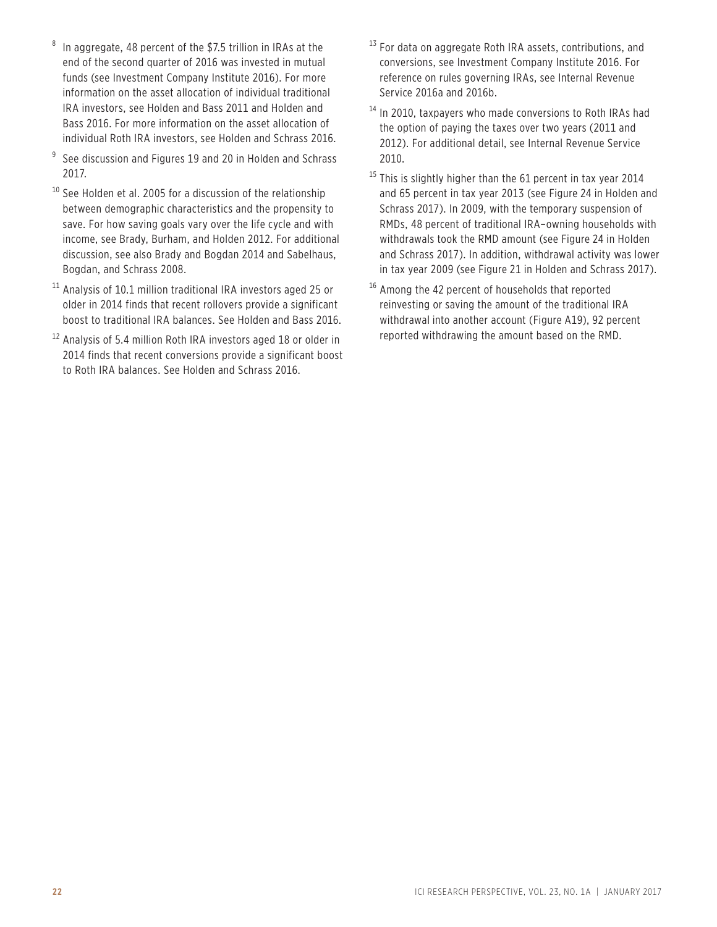- In aggregate, 48 percent of the \$7.5 trillion in IRAs at the end of the second quarter of 2016 was invested in mutual funds (see Investment Company Institute 2016). For more information on the asset allocation of individual traditional IRA investors, see Holden and Bass 2011 and Holden and Bass 2016. For more information on the asset allocation of individual Roth IRA investors, see Holden and Schrass 2016.
- $9$  See discussion and Figures 19 and 20 in Holden and Schrass 2017.
- <sup>10</sup> See Holden et al. 2005 for a discussion of the relationship between demographic characteristics and the propensity to save. For how saving goals vary over the life cycle and with income, see Brady, Burham, and Holden 2012. For additional discussion, see also Brady and Bogdan 2014 and Sabelhaus, Bogdan, and Schrass 2008.
- <sup>11</sup> Analysis of 10.1 million traditional IRA investors aged 25 or older in 2014 finds that recent rollovers provide a significant boost to traditional IRA balances. See Holden and Bass 2016.
- <sup>12</sup> Analysis of 5.4 million Roth IRA investors aged 18 or older in 2014 finds that recent conversions provide a significant boost to Roth IRA balances. See Holden and Schrass 2016.
- $13$  For data on aggregate Roth IRA assets, contributions, and conversions, see Investment Company Institute 2016. For reference on rules governing IRAs, see Internal Revenue Service 2016a and 2016b.
- <sup>14</sup> In 2010, taxpayers who made conversions to Roth IRAs had the option of paying the taxes over two years (2011 and 2012). For additional detail, see Internal Revenue Service 2010.
- <sup>15</sup> This is slightly higher than the 61 percent in tax year 2014 and 65 percent in tax year 2013 (see Figure 24 in Holden and Schrass 2017). In 2009, with the temporary suspension of RMDs, 48 percent of traditional IRA–owning households with withdrawals took the RMD amount (see Figure 24 in Holden and Schrass 2017). In addition, withdrawal activity was lower in tax year 2009 (see Figure 21 in Holden and Schrass 2017).
- <sup>16</sup> Among the 42 percent of households that reported reinvesting or saving the amount of the traditional IRA withdrawal into another account (Figure A19), 92 percent reported withdrawing the amount based on the RMD.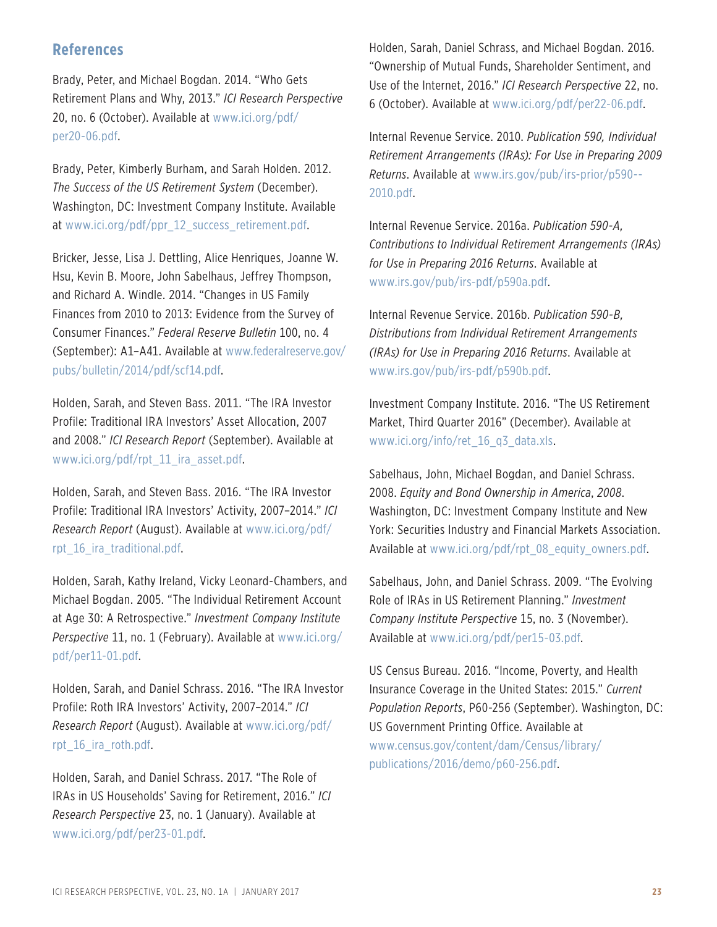# **References**

Brady, Peter, and Michael Bogdan. 2014. "Who Gets Retirement Plans and Why, 2013." *ICI Research Perspective* 20, no. 6 (October). Available at [www.ici.org/pdf](http://www.ici.org/pdf/per20-06.pdf)/ [per20-06.pdf](http://per20-06.pdf).

Brady, Peter, Kimberly Burham, and Sarah Holden. 2012. *The Success of the US Retirement System* (December). Washington, DC: Investment Company Institute. Available at [www.ici.org/pdf/ppr\\_12\\_success\\_retirement.pdf.](http://www.ici.org/pdf/ppr_12_success_retirement.pdf)

Bricker, Jesse, Lisa J. Dettling, Alice Henriques, Joanne W. Hsu, Kevin B. Moore, John Sabelhaus, Jeffrey Thompson, and Richard A. Windle. 2014. "Changes in US Family Finances from 2010 to 2013: Evidence from the Survey of Consumer Finances." *Federal Reserve Bulletin* 100, no. 4 (September): A1–A41. Available at [www.federalreserve.gov/](http://www.federalreserve.gov/pubs/ bulletin/2014/pdf/scf14.pdf) [pubs](http://www.federalreserve.gov/pubs/ bulletin/2014/pdf/scf14.pdf)/bulletin/2014/pdf[/scf14.pdf](http://scf14.pdf).

Holden, Sarah, and Steven Bass. 2011. "The IRA Investor Profile: Traditional IRA Investors' Asset Allocation, 2007 and 2008." *ICI Research Report* (September). Available at [www.ici.org/pdf/rpt\\_11\\_ira\\_asset.pdf.](http://www.ici.org/pdf/rpt_11_ira_asset.pdf)

Holden, Sarah, and Steven Bass. 2016. "The IRA Investor Profile: Traditional IRA Investors' Activity, 2007–2014." *ICI Research Report* (August). Available at [www.ici.org/pdf/](http://www.ici.org/pdf/rpt_16_ira_traditional.pdf) rpt 16 ira traditional.pdf.

Holden, Sarah, Kathy Ireland, Vicky Leonard-Chambers, and Michael Bogdan. 2005. "The Individual Retirement Account at Age 30: A Retrospective." *Investment Company Institute Perspective* 11, no. 1 (February). Available at [www.ici.org/](http://www.ici.org/ pdf/per11-01.pdf) pdf[/per11-01.pdf](http://per11-01.pdf).

Holden, Sarah, and Daniel Schrass. 2016. "The IRA Investor Profile: Roth IRA Investors' Activity, 2007–2014." *ICI Research Report* (August). Available at [www.ici.org/pdf/](http://www.ici.org/pdf/rpt_16_ira_roth.pdf) [rpt\\_16\\_ira\\_roth.pdf.](http://www.ici.org/pdf/rpt_16_ira_roth.pdf)

Holden, Sarah, and Daniel Schrass. 2017. "The Role of IRAs in US Households' Saving for Retirement, 2016." *ICI Research Perspective* 23, no. 1 (January). Available at [www.ici.org/pdf/per23-01.pdf](http://www.ici.org/pdf/per23-01.pdf).

Holden, Sarah, Daniel Schrass, and Michael Bogdan. 2016. "Ownership of Mutual Funds, Shareholder Sentiment, and Use of the Internet, 2016." *ICI Research Perspective* 22, no. 6 (October). Available at [www.ici.org/pdf/per22-06.pdf](http://www.ici.org/pdf/per22-06.pdf).

Internal Revenue Service. 2010. *Publication 590, Individual Retirement Arrangements (IRAs): For Use in Preparing 2009 Returns*. Available at [www.irs.gov/pub/irs-](http://www.irs.gov/pub/irs-prior/p590--2010.pdf)prior[/p590--](http://p590--2010.pdf) [2010.pdf](http://p590--2010.pdf).

Internal Revenue Service. 2016a. *Publication 590-A, Contributions to Individual Retirement Arrangements (IRAs) for Use in Preparing 2016 Returns*. Available at [www.irs.gov/pub/irs-pdf/p590a.pdf.](http://www.irs.gov/pub/irs-pdf/p590a.pdf)

Internal Revenue Service. 2016b. *Publication 590-B, Distributions from Individual Retirement Arrangements (IRAs) for Use in Preparing 2016 Returns*. Available at [www.irs.gov/pub/irs-pdf/p590b.pdf](http://www.irs.gov/pub/irs-pdf/p590b.pdf).

Investment Company Institute. 2016. "The US Retirement Market, Third Quarter 2016" (December). Available at [www.ici.org/info/ret\\_16\\_q3\\_data.xls](http://www.ici.org/info/ret_16_q3_data.xls).

Sabelhaus, John, Michael Bogdan, and Daniel Schrass. 2008. *Equity and Bond Ownership in America*, *2008*. Washington, DC: Investment Company Institute and New York: Securities Industry and Financial Markets Association. Available at [www.ici.org/pdf/rpt\\_08\\_equity\\_owners.pdf](http://www.ici.org/pdf/rpt_08_equity_owners.pdf).

Sabelhaus, John, and Daniel Schrass. 2009. "The Evolving Role of IRAs in US Retirement Planning." *Investment Company Institute Perspective* 15, no. 3 (November). Available at [www.ici.org/pdf/per15-03.pdf.](http://www.ici.org/pdf/per15-03.pdf)

US Census Bureau. 2016. "Income, Poverty, and Health Insurance Coverage in the United States: 2015." *Current Population Reports*, P60-256 (September). Washington, DC: US Government Printing Office. Available at [www.census.gov/content/dam/Census/library/](http://www.census.gov/content/dam/Census/library/publications/2016/demo/p60-256.pdf) [publications/2016/demo/p60-256.pdf.](http://www.census.gov/content/dam/Census/library/publications/2016/demo/p60-256.pdf)